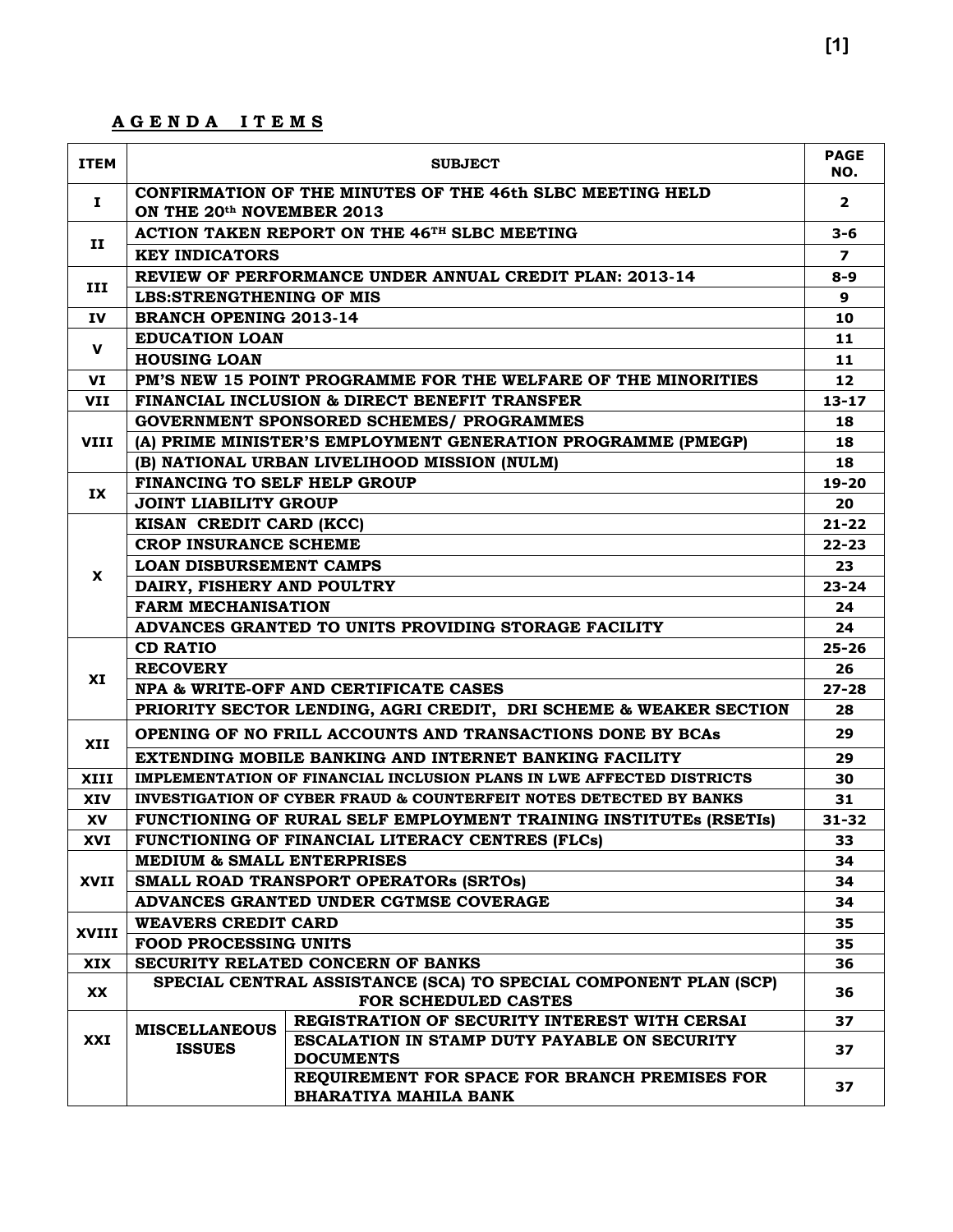#### **A G E N D A I T E M S**

| <b>ITEM</b>  | <b>SUBJECT</b>                                           |                                                                                                                                                    |                  |  |  |  |  |
|--------------|----------------------------------------------------------|----------------------------------------------------------------------------------------------------------------------------------------------------|------------------|--|--|--|--|
| Ι.           | ON THE 20th NOVEMBER 2013                                | CONFIRMATION OF THE MINUTES OF THE 46th SLBC MEETING HELD                                                                                          | $\mathbf{2}$     |  |  |  |  |
|              | <b>ACTION TAKEN REPORT ON THE 46TH SLBC MEETING</b>      |                                                                                                                                                    |                  |  |  |  |  |
| 11           | <b>KEY INDICATORS</b>                                    |                                                                                                                                                    | $\boldsymbol{7}$ |  |  |  |  |
|              | REVIEW OF PERFORMANCE UNDER ANNUAL CREDIT PLAN: 2013-14  |                                                                                                                                                    |                  |  |  |  |  |
| III          | <b>LBS:STRENGTHENING OF MIS</b>                          |                                                                                                                                                    |                  |  |  |  |  |
| <b>IV</b>    | <b>BRANCH OPENING 2013-14</b>                            |                                                                                                                                                    | 10               |  |  |  |  |
| $\mathbf v$  | <b>EDUCATION LOAN</b>                                    |                                                                                                                                                    | 11               |  |  |  |  |
|              | <b>HOUSING LOAN</b>                                      |                                                                                                                                                    | 11               |  |  |  |  |
| VI           |                                                          | PM'S NEW 15 POINT PROGRAMME FOR THE WELFARE OF THE MINORITIES                                                                                      | 12               |  |  |  |  |
| <b>VII</b>   |                                                          | FINANCIAL INCLUSION & DIRECT BENEFIT TRANSFER                                                                                                      | $13 - 17$        |  |  |  |  |
|              |                                                          | <b>GOVERNMENT SPONSORED SCHEMES/ PROGRAMMES</b>                                                                                                    | 18               |  |  |  |  |
| <b>VIII</b>  |                                                          | (A) PRIME MINISTER'S EMPLOYMENT GENERATION PROGRAMME (PMEGP)                                                                                       | 18               |  |  |  |  |
|              |                                                          | (B) NATIONAL URBAN LIVELIHOOD MISSION (NULM)                                                                                                       | 18               |  |  |  |  |
| IX           | FINANCING TO SELF HELP GROUP                             |                                                                                                                                                    | 19-20            |  |  |  |  |
|              | <b>JOINT LIABILITY GROUP</b>                             |                                                                                                                                                    | 20               |  |  |  |  |
|              | KISAN CREDIT CARD (KCC)                                  |                                                                                                                                                    | $21 - 22$        |  |  |  |  |
|              | <b>CROP INSURANCE SCHEME</b>                             |                                                                                                                                                    | $22 - 23$        |  |  |  |  |
| <b>X</b>     | <b>LOAN DISBURSEMENT CAMPS</b>                           |                                                                                                                                                    | 23.<br>$23 - 24$ |  |  |  |  |
|              | DAIRY, FISHERY AND POULTRY                               |                                                                                                                                                    |                  |  |  |  |  |
|              | <b>FARM MECHANISATION</b>                                |                                                                                                                                                    |                  |  |  |  |  |
|              | ADVANCES GRANTED TO UNITS PROVIDING STORAGE FACILITY     |                                                                                                                                                    |                  |  |  |  |  |
|              | <b>CD RATIO</b>                                          |                                                                                                                                                    |                  |  |  |  |  |
| XI           | <b>RECOVERY</b><br>NPA & WRITE-OFF AND CERTIFICATE CASES |                                                                                                                                                    |                  |  |  |  |  |
|              |                                                          |                                                                                                                                                    | $27 - 28$        |  |  |  |  |
|              |                                                          | PRIORITY SECTOR LENDING, AGRI CREDIT, DRI SCHEME & WEAKER SECTION<br>OPENING OF NO FRILL ACCOUNTS AND TRANSACTIONS DONE BY BCAs                    | 28<br>29         |  |  |  |  |
| XII          |                                                          |                                                                                                                                                    |                  |  |  |  |  |
|              |                                                          | EXTENDING MOBILE BANKING AND INTERNET BANKING FACILITY                                                                                             | 29               |  |  |  |  |
| XIII         |                                                          | IMPLEMENTATION OF FINANCIAL INCLUSION PLANS IN LWE AFFECTED DISTRICTS                                                                              | 30               |  |  |  |  |
| <b>XIV</b>   |                                                          | <b>INVESTIGATION OF CYBER FRAUD &amp; COUNTERFEIT NOTES DETECTED BY BANKS</b><br>FUNCTIONING OF RURAL SELF EMPLOYMENT TRAINING INSTITUTES (RSETIS) | 31<br>$31 - 32$  |  |  |  |  |
| XV           |                                                          |                                                                                                                                                    |                  |  |  |  |  |
| XVI          | <b>MEDIUM &amp; SMALL ENTERPRISES</b>                    | FUNCTIONING OF FINANCIAL LITERACY CENTRES (FLCs)                                                                                                   | 33<br>34         |  |  |  |  |
| <b>XVII</b>  |                                                          | SMALL ROAD TRANSPORT OPERATORS (SRTOS)                                                                                                             | 34               |  |  |  |  |
|              |                                                          | ADVANCES GRANTED UNDER CGTMSE COVERAGE                                                                                                             | 34               |  |  |  |  |
|              | <b>WEAVERS CREDIT CARD</b>                               |                                                                                                                                                    | 35               |  |  |  |  |
| <b>XVIII</b> | <b>FOOD PROCESSING UNITS</b>                             |                                                                                                                                                    | 35               |  |  |  |  |
| <b>XIX</b>   |                                                          | SECURITY RELATED CONCERN OF BANKS                                                                                                                  | 36               |  |  |  |  |
|              |                                                          | SPECIAL CENTRAL ASSISTANCE (SCA) TO SPECIAL COMPONENT PLAN (SCP)                                                                                   |                  |  |  |  |  |
| XX           |                                                          | FOR SCHEDULED CASTES                                                                                                                               | 36               |  |  |  |  |
|              | <b>MISCELLANEOUS</b>                                     | REGISTRATION OF SECURITY INTEREST WITH CERSAI                                                                                                      | 37               |  |  |  |  |
| XXI          | <b>ISSUES</b>                                            | <b>ESCALATION IN STAMP DUTY PAYABLE ON SECURITY</b><br><b>DOCUMENTS</b>                                                                            | 37               |  |  |  |  |
|              |                                                          | REQUIREMENT FOR SPACE FOR BRANCH PREMISES FOR<br><b>BHARATIYA MAHILA BANK</b>                                                                      | 37               |  |  |  |  |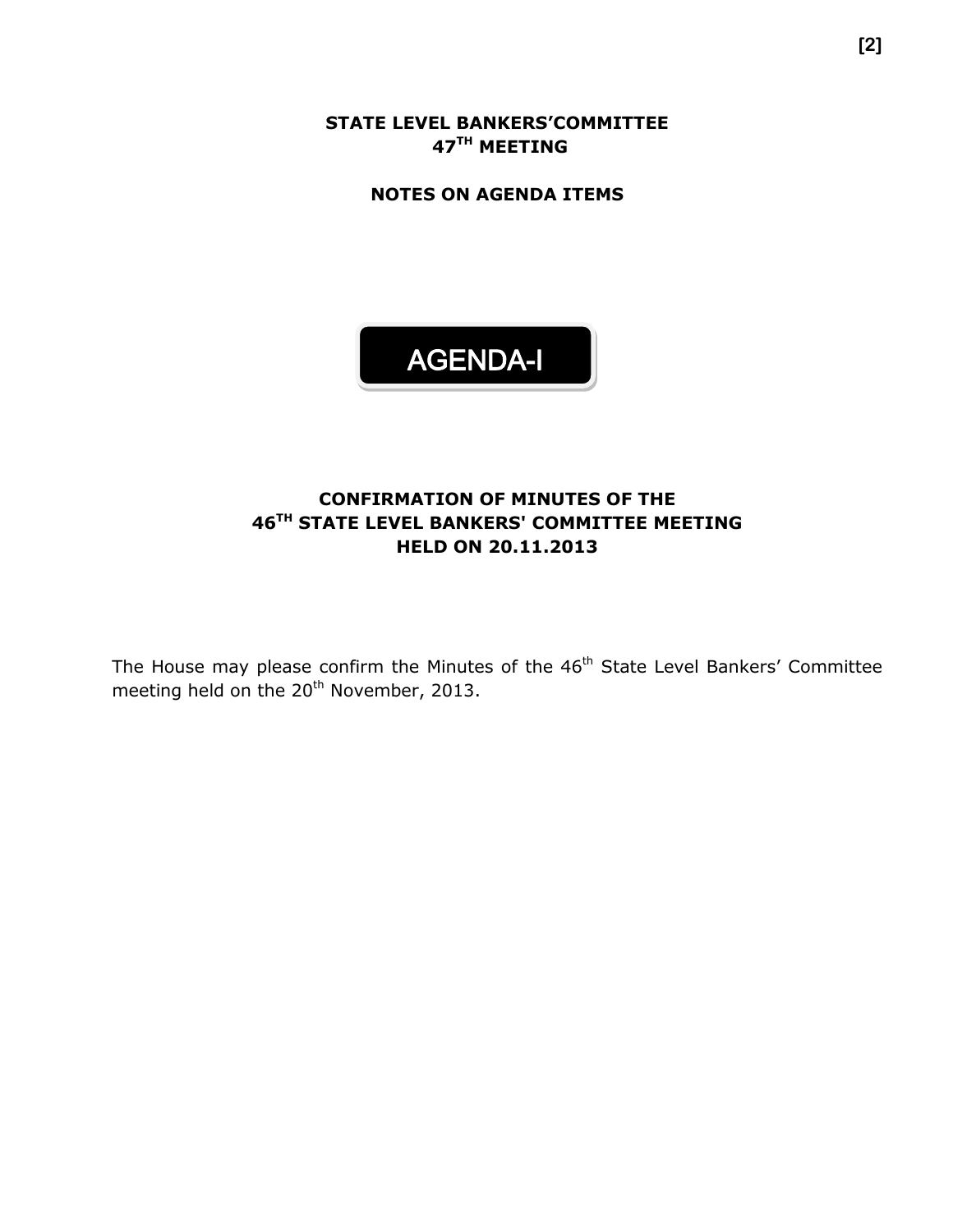**STATE LEVEL BANKERS'COMMITTEE 47 TH MEETING**

**NOTES ON AGENDA ITEMS**



#### **CONFIRMATION OF MINUTES OF THE 46 TH STATE LEVEL BANKERS' COMMITTEE MEETING HELD ON 20.11.2013**

The House may please confirm the Minutes of the 46<sup>th</sup> State Level Bankers' Committee meeting held on the 20<sup>th</sup> November, 2013.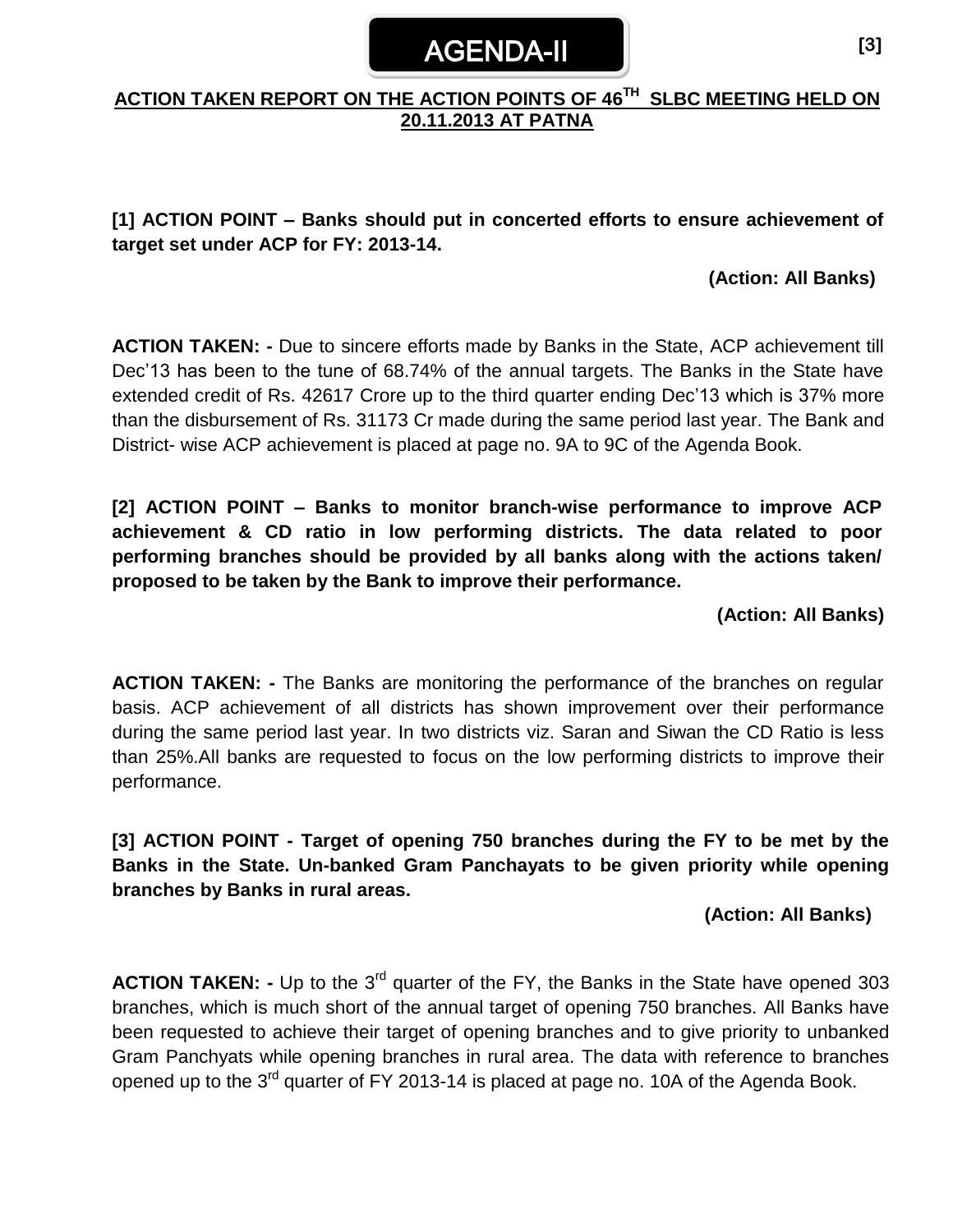# AGENDA-II

#### **ACTION TAKEN REPORT ON THE ACTION POINTS OF 46 TH SLBC MEETING HELD ON 20.11.2013 AT PATNA**

#### **[1] ACTION POINT – Banks should put in concerted efforts to ensure achievement of target set under ACP for FY: 2013-14.**

#### **(Action: All Banks)**

**ACTION TAKEN: -** Due to sincere efforts made by Banks in the State, ACP achievement till Dec'13 has been to the tune of 68.74% of the annual targets. The Banks in the State have extended credit of Rs. 42617 Crore up to the third quarter ending Dec'13 which is 37% more than the disbursement of Rs. 31173 Cr made during the same period last year. The Bank and District- wise ACP achievement is placed at page no. 9A to 9C of the Agenda Book.

**[2] ACTION POINT – Banks to monitor branch-wise performance to improve ACP achievement & CD ratio in low performing districts. The data related to poor performing branches should be provided by all banks along with the actions taken/ proposed to be taken by the Bank to improve their performance.** 

#### **(Action: All Banks)**

**ACTION TAKEN: -** The Banks are monitoring the performance of the branches on regular basis. ACP achievement of all districts has shown improvement over their performance during the same period last year. In two districts viz. Saran and Siwan the CD Ratio is less than 25%.All banks are requested to focus on the low performing districts to improve their performance.

**[3] ACTION POINT - Target of opening 750 branches during the FY to be met by the Banks in the State. Un-banked Gram Panchayats to be given priority while opening branches by Banks in rural areas.**

#### **(Action: All Banks)**

**ACTION TAKEN:** - Up to the 3<sup>rd</sup> quarter of the FY, the Banks in the State have opened 303 branches, which is much short of the annual target of opening 750 branches. All Banks have been requested to achieve their target of opening branches and to give priority to unbanked Gram Panchyats while opening branches in rural area. The data with reference to branches opened up to the 3<sup>rd</sup> quarter of FY 2013-14 is placed at page no. 10A of the Agenda Book.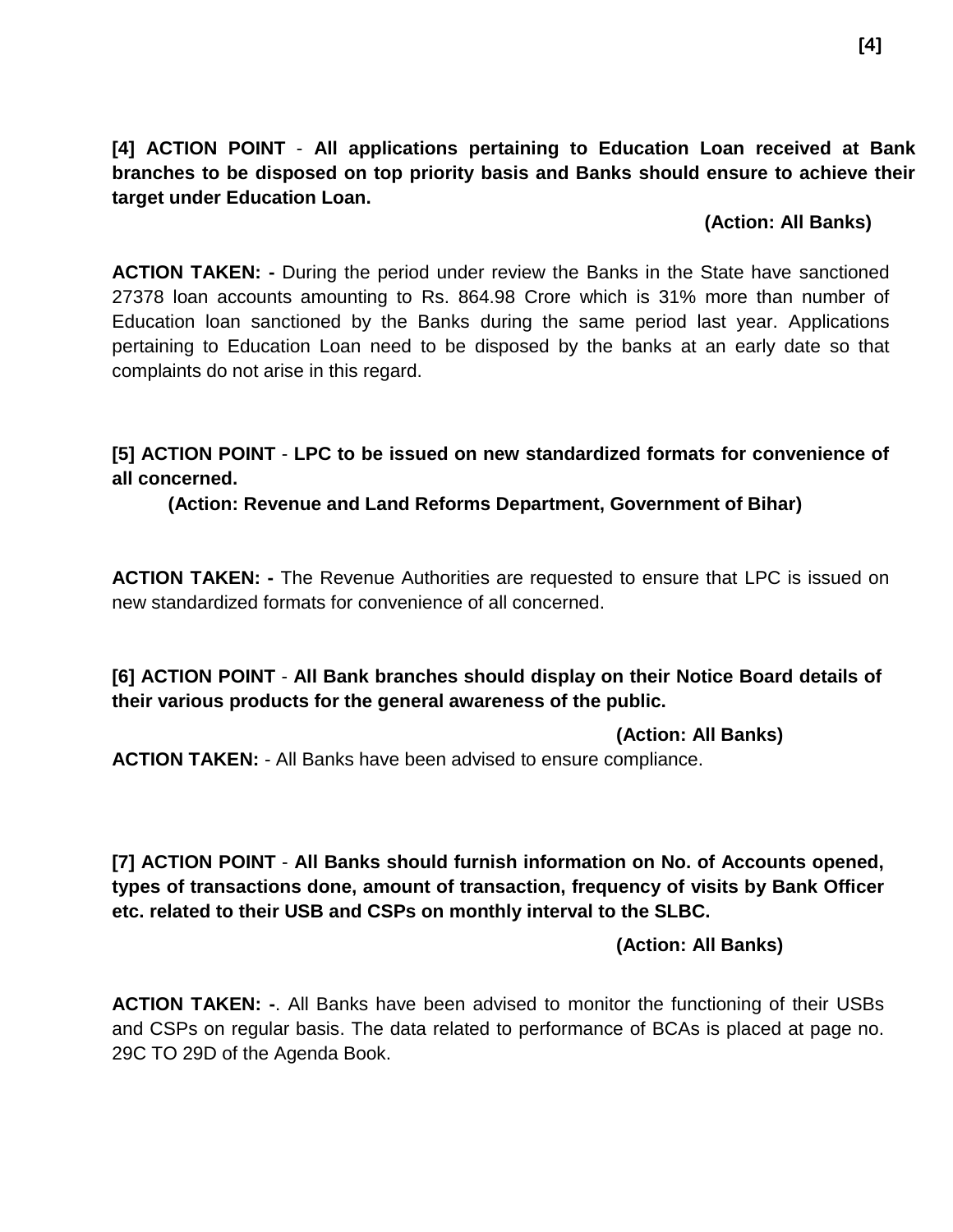**[4] ACTION POINT** - **All applications pertaining to Education Loan received at Bank branches to be disposed on top priority basis and Banks should ensure to achieve their target under Education Loan.**

#### **(Action: All Banks)**

**ACTION TAKEN: -** During the period under review the Banks in the State have sanctioned 27378 loan accounts amounting to Rs. 864.98 Crore which is 31% more than number of Education loan sanctioned by the Banks during the same period last year. Applications pertaining to Education Loan need to be disposed by the banks at an early date so that complaints do not arise in this regard.

**[5] ACTION POINT** - **LPC to be issued on new standardized formats for convenience of all concerned.**

**(Action: Revenue and Land Reforms Department, Government of Bihar)**

**ACTION TAKEN: -** The Revenue Authorities are requested to ensure that LPC is issued on new standardized formats for convenience of all concerned.

**[6] ACTION POINT** - **All Bank branches should display on their Notice Board details of their various products for the general awareness of the public.**

**(Action: All Banks)**

**ACTION TAKEN:** - All Banks have been advised to ensure compliance.

**[7] ACTION POINT** - **All Banks should furnish information on No. of Accounts opened, types of transactions done, amount of transaction, frequency of visits by Bank Officer etc. related to their USB and CSPs on monthly interval to the SLBC.**

**(Action: All Banks)**

**ACTION TAKEN: -**. All Banks have been advised to monitor the functioning of their USBs and CSPs on regular basis. The data related to performance of BCAs is placed at page no. 29C TO 29D of the Agenda Book.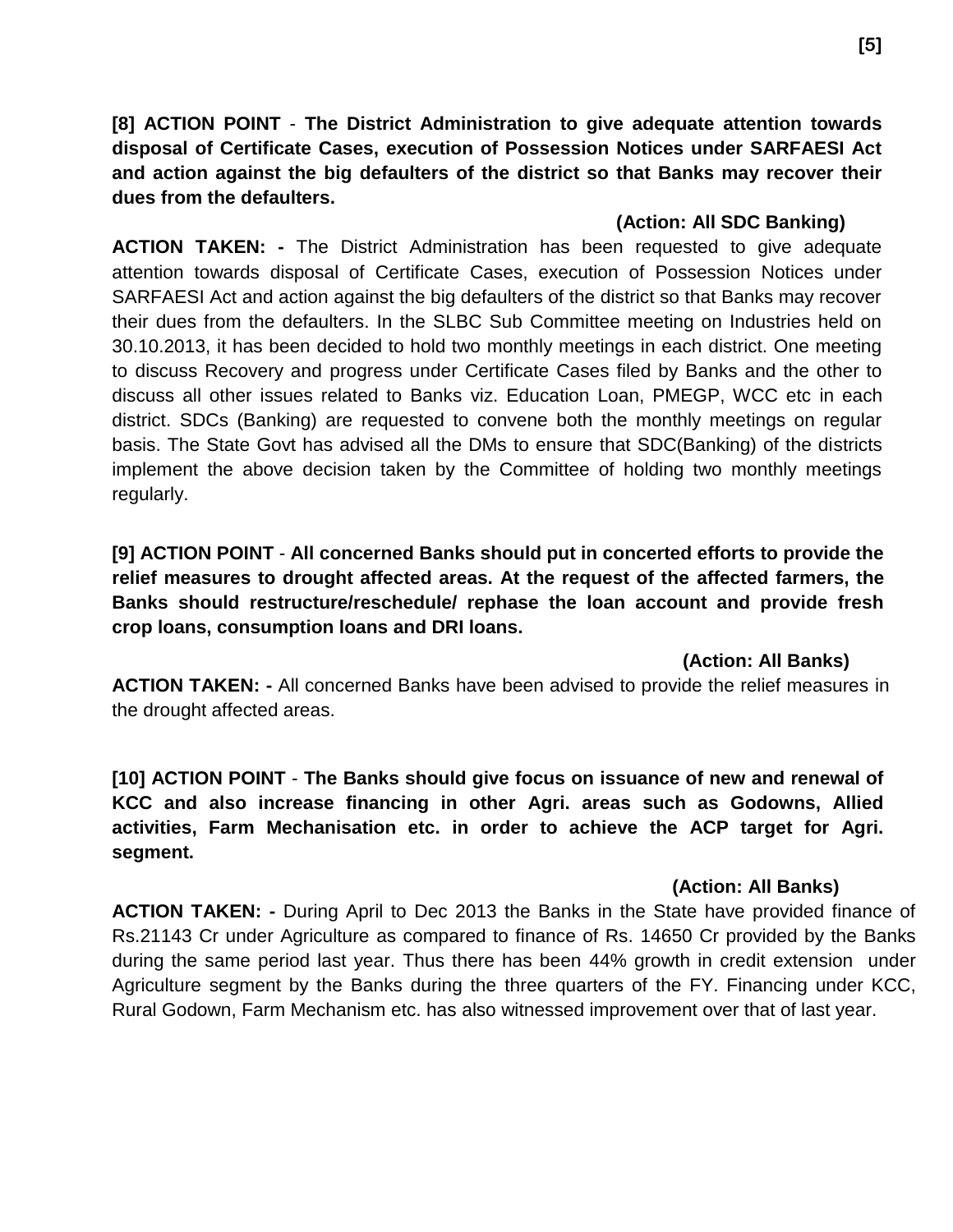**[8] ACTION POINT** - **The District Administration to give adequate attention towards disposal of Certificate Cases, execution of Possession Notices under SARFAESI Act and action against the big defaulters of the district so that Banks may recover their dues from the defaulters.**

#### **(Action: All SDC Banking)**

**ACTION TAKEN: -** The District Administration has been requested to give adequate attention towards disposal of Certificate Cases, execution of Possession Notices under SARFAESI Act and action against the big defaulters of the district so that Banks may recover their dues from the defaulters. In the SLBC Sub Committee meeting on Industries held on 30.10.2013, it has been decided to hold two monthly meetings in each district. One meeting to discuss Recovery and progress under Certificate Cases filed by Banks and the other to discuss all other issues related to Banks viz. Education Loan, PMEGP, WCC etc in each district. SDCs (Banking) are requested to convene both the monthly meetings on regular basis. The State Govt has advised all the DMs to ensure that SDC(Banking) of the districts implement the above decision taken by the Committee of holding two monthly meetings regularly.

**[9] ACTION POINT** - **All concerned Banks should put in concerted efforts to provide the relief measures to drought affected areas. At the request of the affected farmers, the Banks should restructure/reschedule/ rephase the loan account and provide fresh crop loans, consumption loans and DRI loans.**

#### **(Action: All Banks)**

**ACTION TAKEN: -** All concerned Banks have been advised to provide the relief measures in the drought affected areas.

**[10] ACTION POINT** - **The Banks should give focus on issuance of new and renewal of KCC and also increase financing in other Agri. areas such as Godowns, Allied activities, Farm Mechanisation etc. in order to achieve the ACP target for Agri. segment.**

#### **(Action: All Banks)**

**ACTION TAKEN: -** During April to Dec 2013 the Banks in the State have provided finance of Rs.21143 Cr under Agriculture as compared to finance of Rs. 14650 Cr provided by the Banks during the same period last year. Thus there has been 44% growth in credit extension under Agriculture segment by the Banks during the three quarters of the FY. Financing under KCC, Rural Godown, Farm Mechanism etc. has also witnessed improvement over that of last year.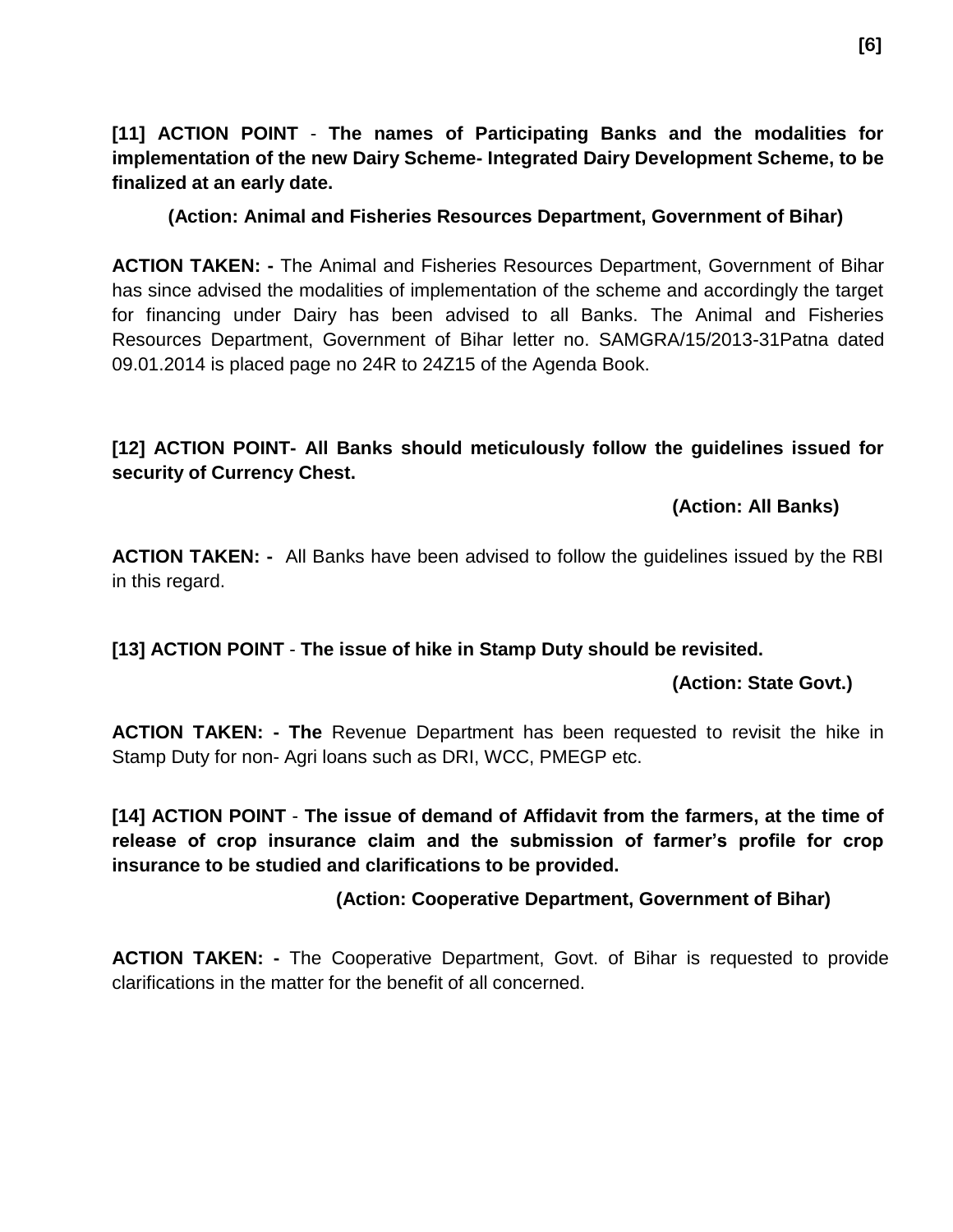**[11] ACTION POINT** - **The names of Participating Banks and the modalities for implementation of the new Dairy Scheme- Integrated Dairy Development Scheme, to be finalized at an early date.** 

**(Action: Animal and Fisheries Resources Department, Government of Bihar)**

**ACTION TAKEN: -** The Animal and Fisheries Resources Department, Government of Bihar has since advised the modalities of implementation of the scheme and accordingly the target for financing under Dairy has been advised to all Banks. The Animal and Fisheries Resources Department, Government of Bihar letter no. SAMGRA/15/2013-31Patna dated 09.01.2014 is placed page no 24R to 24Z15 of the Agenda Book.

#### **[12] ACTION POINT- All Banks should meticulously follow the guidelines issued for security of Currency Chest.**

#### **(Action: All Banks)**

**ACTION TAKEN: -** All Banks have been advised to follow the guidelines issued by the RBI in this regard.

**[13] ACTION POINT** - **The issue of hike in Stamp Duty should be revisited.**

#### **(Action: State Govt.)**

**ACTION TAKEN: - The** Revenue Department has been requested to revisit the hike in Stamp Duty for non- Agri loans such as DRI, WCC, PMEGP etc.

**[14] ACTION POINT** - **The issue of demand of Affidavit from the farmers, at the time of release of crop insurance claim and the submission of farmer's profile for crop insurance to be studied and clarifications to be provided.**

#### **(Action: Cooperative Department, Government of Bihar)**

**ACTION TAKEN: -** The Cooperative Department, Govt. of Bihar is requested to provide clarifications in the matter for the benefit of all concerned.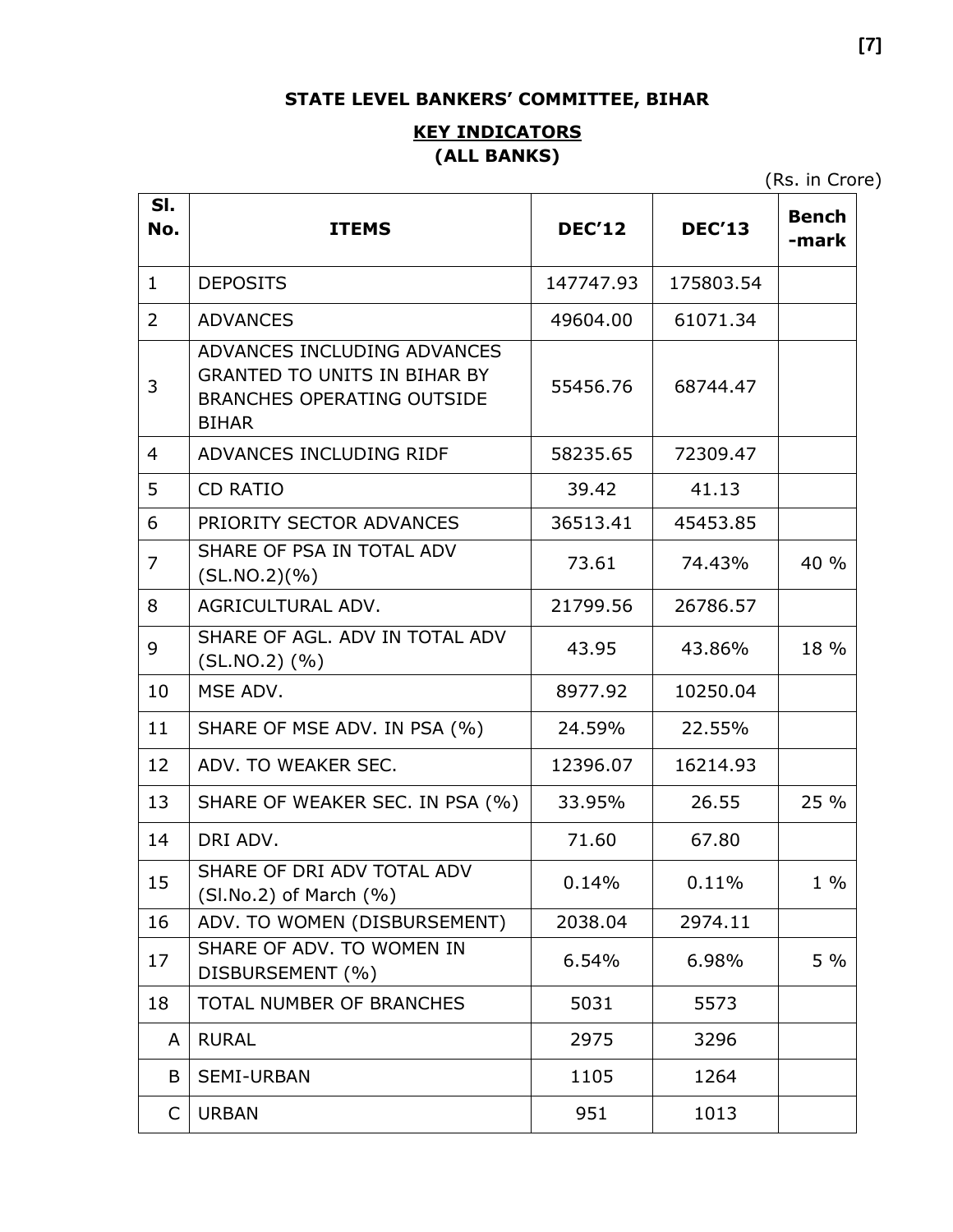### **STATE LEVEL BANKERS' COMMITTEE, BIHAR**

#### **KEY INDICATORS (ALL BANKS)**

(Rs. in Crore)

| SI.<br>No.     | <b>ITEMS</b>                                                                                                            | <b>DEC'12</b> | <b>DEC'13</b> | <b>Bench</b><br>-mark |
|----------------|-------------------------------------------------------------------------------------------------------------------------|---------------|---------------|-----------------------|
| $\mathbf{1}$   | <b>DEPOSITS</b>                                                                                                         | 147747.93     | 175803.54     |                       |
| $\overline{2}$ | <b>ADVANCES</b>                                                                                                         | 49604.00      | 61071.34      |                       |
| 3              | ADVANCES INCLUDING ADVANCES<br><b>GRANTED TO UNITS IN BIHAR BY</b><br><b>BRANCHES OPERATING OUTSIDE</b><br><b>BIHAR</b> | 55456.76      | 68744.47      |                       |
| 4              | ADVANCES INCLUDING RIDF                                                                                                 | 58235.65      | 72309.47      |                       |
| 5              | <b>CD RATIO</b>                                                                                                         | 39.42         | 41.13         |                       |
| 6              | PRIORITY SECTOR ADVANCES                                                                                                | 36513.41      | 45453.85      |                       |
| $\overline{7}$ | SHARE OF PSA IN TOTAL ADV<br>(SL.NO.2)(%)                                                                               | 73.61         | 74.43%        | 40 %                  |
| 8              | AGRICULTURAL ADV.                                                                                                       | 21799.56      | 26786.57      |                       |
| 9              | SHARE OF AGL. ADV IN TOTAL ADV<br>$(SL.NO.2)$ $(\% )$                                                                   | 43.95         | 43.86%        | 18 %                  |
| 10             | MSE ADV.                                                                                                                | 8977.92       | 10250.04      |                       |
| 11             | SHARE OF MSE ADV. IN PSA (%)                                                                                            | 24.59%        | 22.55%        |                       |
| 12             | ADV. TO WEAKER SEC.                                                                                                     | 12396.07      | 16214.93      |                       |
| 13             | SHARE OF WEAKER SEC. IN PSA (%)                                                                                         | 33.95%        | 26.55         | 25 %                  |
| 14             | DRI ADV.                                                                                                                | 71.60         | 67.80         |                       |
| 15             | SHARE OF DRI ADV TOTAL ADV<br>$(SI.No.2)$ of March $(\% )$                                                              | 0.14%         | 0.11%         | $1\%$                 |
| 16             | ADV. TO WOMEN (DISBURSEMENT)                                                                                            | 2038.04       | 2974.11       |                       |
| 17             | SHARE OF ADV. TO WOMEN IN<br>DISBURSEMENT (%)                                                                           | 6.54%         | 6.98%         | $5\%$                 |
| 18             | TOTAL NUMBER OF BRANCHES                                                                                                | 5031          | 5573          |                       |
| A              | <b>RURAL</b>                                                                                                            | 2975          | 3296          |                       |
| B              | <b>SEMI-URBAN</b>                                                                                                       | 1105          | 1264          |                       |
| C              | <b>URBAN</b>                                                                                                            | 951           | 1013          |                       |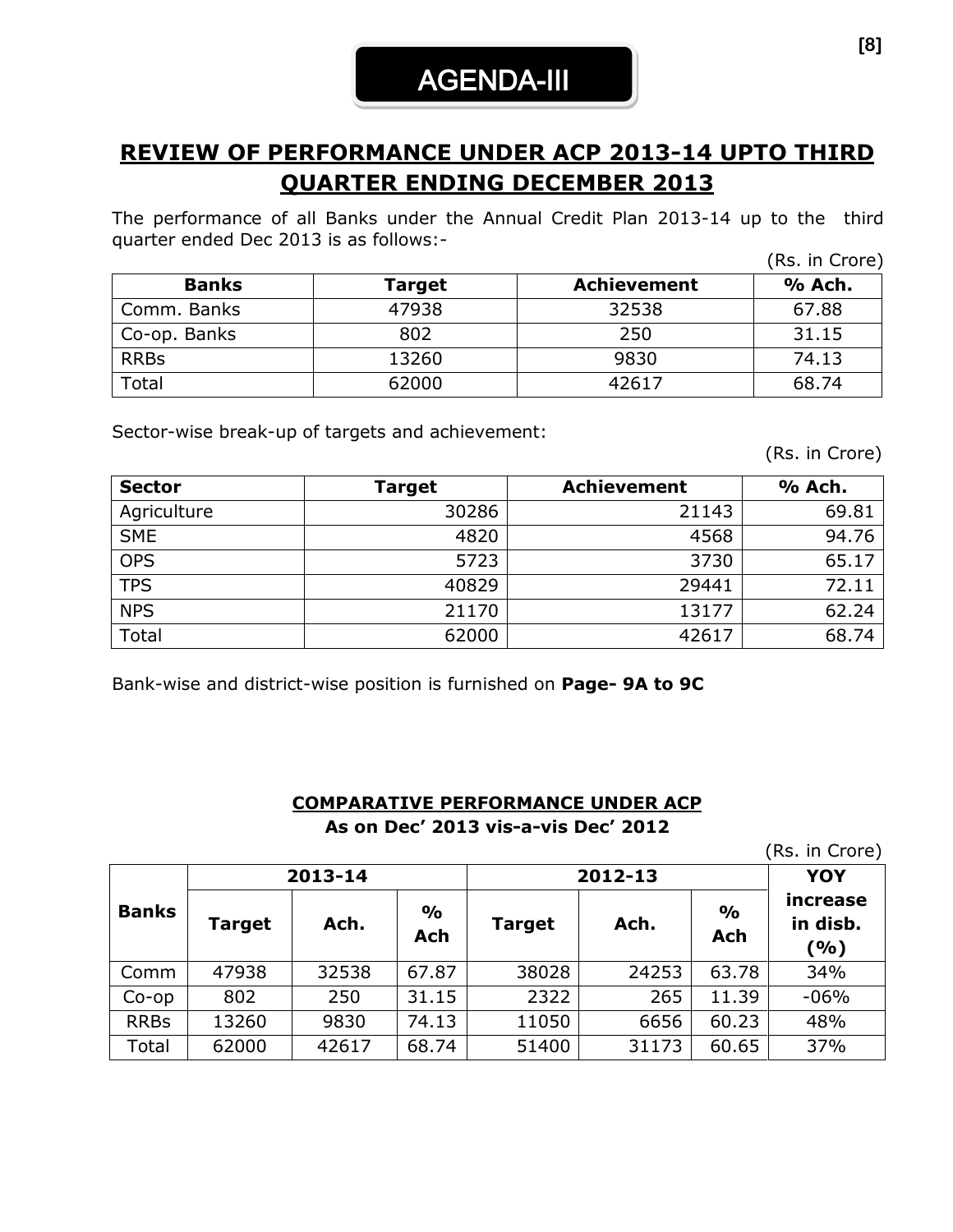### **REVIEW OF PERFORMANCE UNDER ACP 2013-14 UPTO THIRD QUARTER ENDING DECEMBER 2013**

The performance of all Banks under the Annual Credit Plan 2013-14 up to the third quarter ended Dec 2013 is as follows:- (Rs. in Crore)

|              |        |                    | (RS. III Crore) |
|--------------|--------|--------------------|-----------------|
| <b>Banks</b> | Target | <b>Achievement</b> | % Ach.          |
| Comm. Banks  | 47938  | 32538              | 67.88           |
| Co-op. Banks | 802    | 250                | 31.15           |
| <b>RRBs</b>  | 13260  | 9830               | 74.13           |
| Total        | 62000  | 42617              | 68.74           |

Sector-wise break-up of targets and achievement:

(Rs. in Crore)

| <b>Sector</b> | Target | <b>Achievement</b> | % Ach. |
|---------------|--------|--------------------|--------|
| Agriculture   | 30286  | 21143              | 69.81  |
| <b>SME</b>    | 4820   | 4568               | 94.76  |
| <b>OPS</b>    | 5723   | 3730               | 65.17  |
| <b>TPS</b>    | 40829  | 29441              | 72.11  |
| <b>NPS</b>    | 21170  | 13177              | 62.24  |
| Total         | 62000  | 42617              | 68.74  |

Bank-wise and district-wise position is furnished on **Page- 9A to 9C**

#### **COMPARATIVE PERFORMANCE UNDER ACP As on Dec' 2013 vis-a-vis Dec' 2012**

(Rs. in Crore)

|              |        | 2013-14 |                      | 2012-13       | <b>YOY</b> |                             |                             |
|--------------|--------|---------|----------------------|---------------|------------|-----------------------------|-----------------------------|
| <b>Banks</b> | Target | Ach.    | $\frac{0}{0}$<br>Ach | <b>Target</b> | Ach.       | $\frac{1}{2}$<br><b>Ach</b> | increase<br>in disb.<br>(%) |
| Comm         | 47938  | 32538   | 67.87                | 38028         | 24253      | 63.78                       | 34%                         |
| $Co$ -op     | 802    | 250     | 31.15                | 2322          | 265        | 11.39                       | $-06%$                      |
| <b>RRBs</b>  | 13260  | 9830    | 74.13                | 11050         | 6656       | 60.23                       | 48%                         |
| Total        | 62000  | 42617   | 68.74                | 51400         | 31173      | 60.65                       | 37%                         |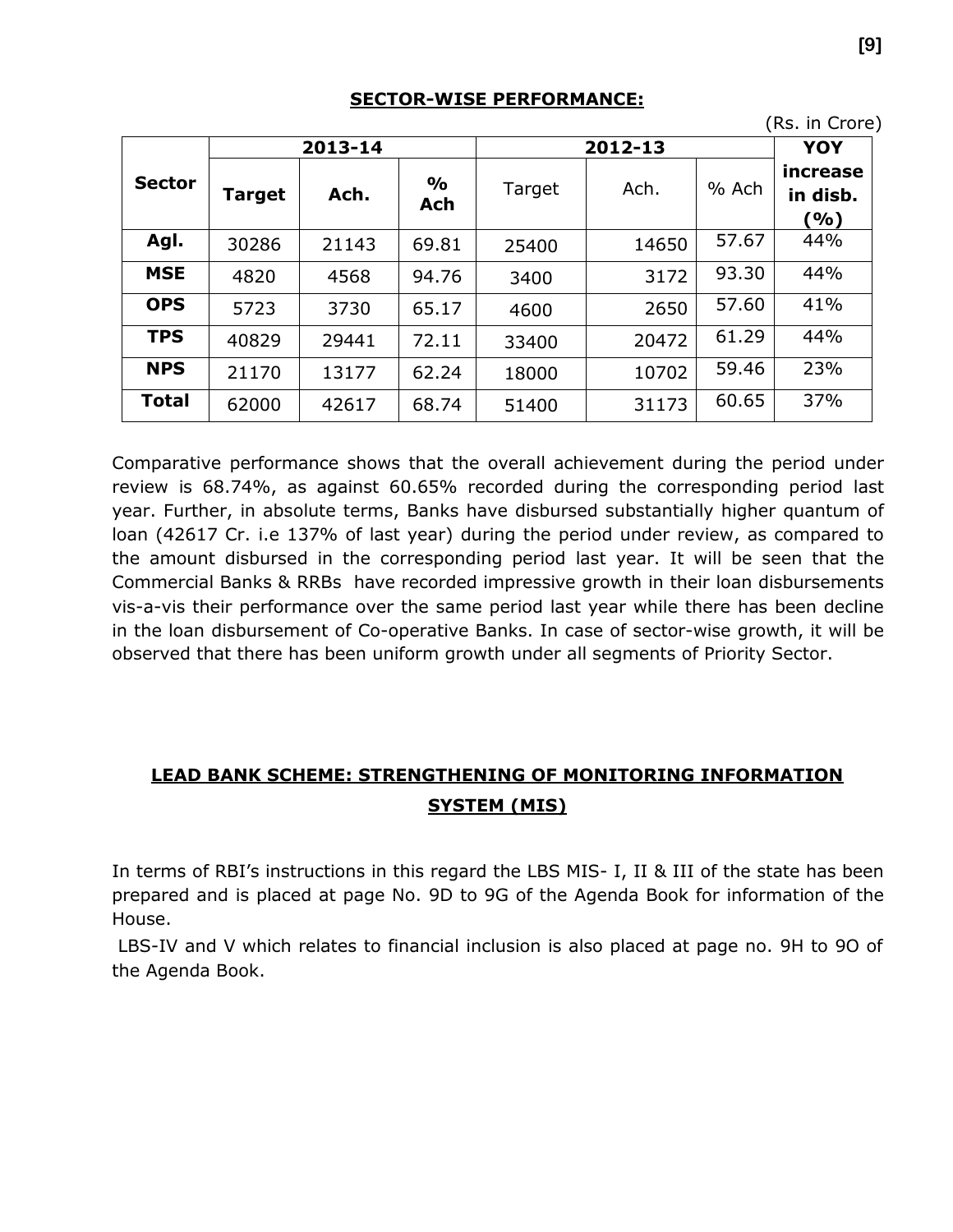| (Rs. in Crore) |               |         |                             |        |         |       |                             |  |  |  |
|----------------|---------------|---------|-----------------------------|--------|---------|-------|-----------------------------|--|--|--|
|                |               | 2013-14 |                             |        | 2012-13 |       |                             |  |  |  |
| <b>Sector</b>  | <b>Target</b> | Ach.    | $\frac{6}{9}$<br><b>Ach</b> | Target | Ach.    | % Ach | increase<br>in disb.<br>(%) |  |  |  |
| Agl.           | 30286         | 21143   | 69.81                       | 25400  | 14650   | 57.67 | 44%                         |  |  |  |
| <b>MSE</b>     | 4820          | 4568    | 94.76                       | 3400   | 3172    | 93.30 | 44%                         |  |  |  |
| <b>OPS</b>     | 5723          | 3730    | 65.17                       | 4600   | 2650    | 57.60 | 41%                         |  |  |  |
| <b>TPS</b>     | 40829         | 29441   | 72.11                       | 33400  | 20472   | 61.29 | 44%                         |  |  |  |
| <b>NPS</b>     | 21170         | 13177   | 62.24                       | 18000  | 10702   | 59.46 | 23%                         |  |  |  |
| <b>Total</b>   | 62000         | 42617   | 68.74                       | 51400  | 31173   | 60.65 | 37%                         |  |  |  |

#### **SECTOR-WISE PERFORMANCE:**

Comparative performance shows that the overall achievement during the period under review is 68.74%, as against 60.65% recorded during the corresponding period last year. Further, in absolute terms, Banks have disbursed substantially higher quantum of loan (42617 Cr. i.e 137% of last year) during the period under review, as compared to the amount disbursed in the corresponding period last year. It will be seen that the Commercial Banks & RRBs have recorded impressive growth in their loan disbursements vis-a-vis their performance over the same period last year while there has been decline in the loan disbursement of Co-operative Banks. In case of sector-wise growth, it will be observed that there has been uniform growth under all segments of Priority Sector.

### **LEAD BANK SCHEME: STRENGTHENING OF MONITORING INFORMATION SYSTEM (MIS)**

In terms of RBI's instructions in this regard the LBS MIS- I, II & III of the state has been prepared and is placed at page No. 9D to 9G of the Agenda Book for information of the House.

LBS-IV and V which relates to financial inclusion is also placed at page no. 9H to 9O of the Agenda Book.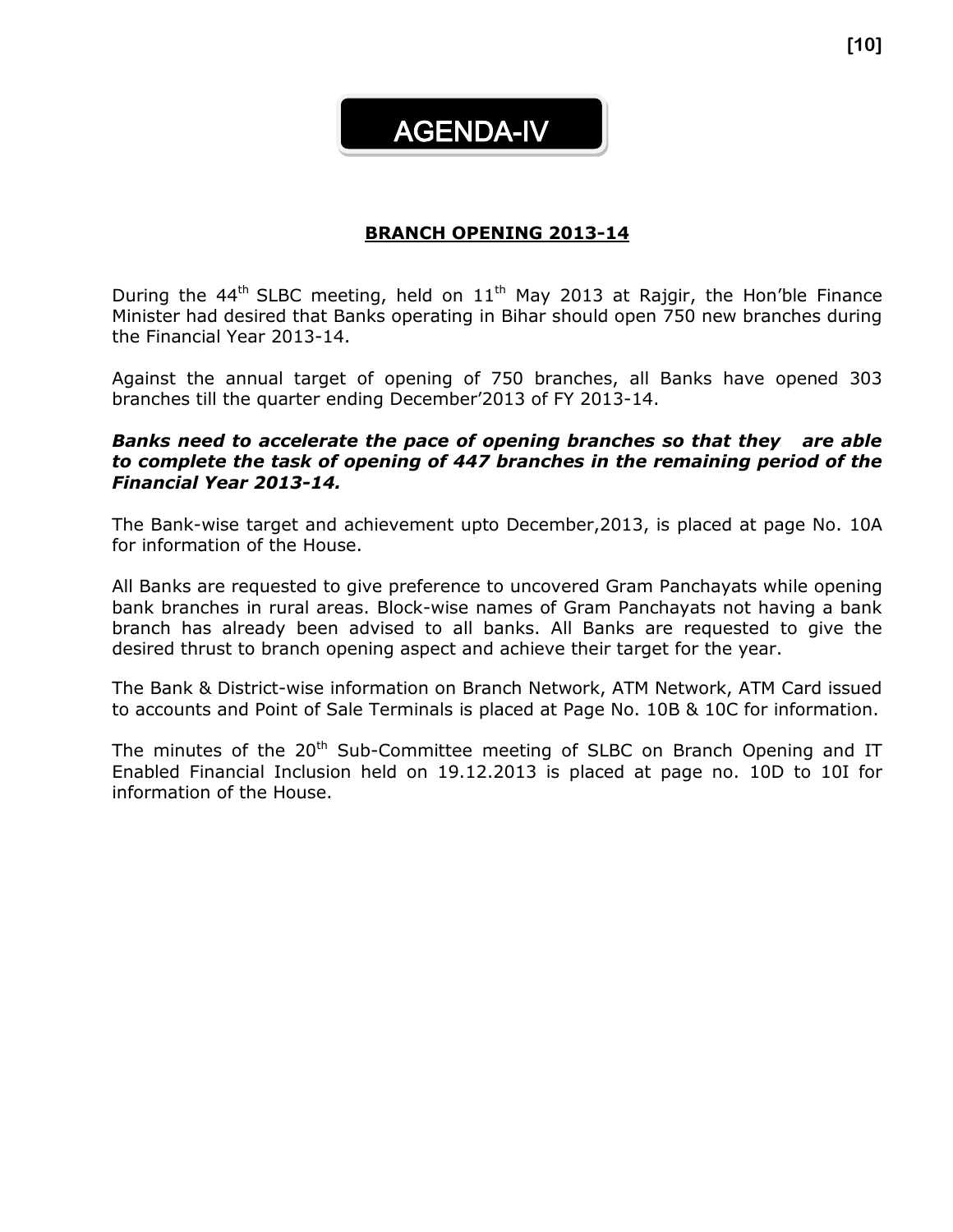AGENDA-IV

#### **BRANCH OPENING 2013-14**

During the 44<sup>th</sup> SLBC meeting, held on  $11<sup>th</sup>$  May 2013 at Rajgir, the Hon'ble Finance Minister had desired that Banks operating in Bihar should open 750 new branches during the Financial Year 2013-14.

Against the annual target of opening of 750 branches, all Banks have opened 303 branches till the quarter ending December'2013 of FY 2013-14.

#### *Banks need to accelerate the pace of opening branches so that they are able to complete the task of opening of 447 branches in the remaining period of the Financial Year 2013-14.*

The Bank-wise target and achievement upto December,2013, is placed at page No. 10A for information of the House.

All Banks are requested to give preference to uncovered Gram Panchayats while opening bank branches in rural areas. Block-wise names of Gram Panchayats not having a bank branch has already been advised to all banks. All Banks are requested to give the desired thrust to branch opening aspect and achieve their target for the year.

The Bank & District-wise information on Branch Network, ATM Network, ATM Card issued to accounts and Point of Sale Terminals is placed at Page No. 10B & 10C for information.

The minutes of the  $20<sup>th</sup>$  Sub-Committee meeting of SLBC on Branch Opening and IT Enabled Financial Inclusion held on 19.12.2013 is placed at page no. 10D to 10I for information of the House.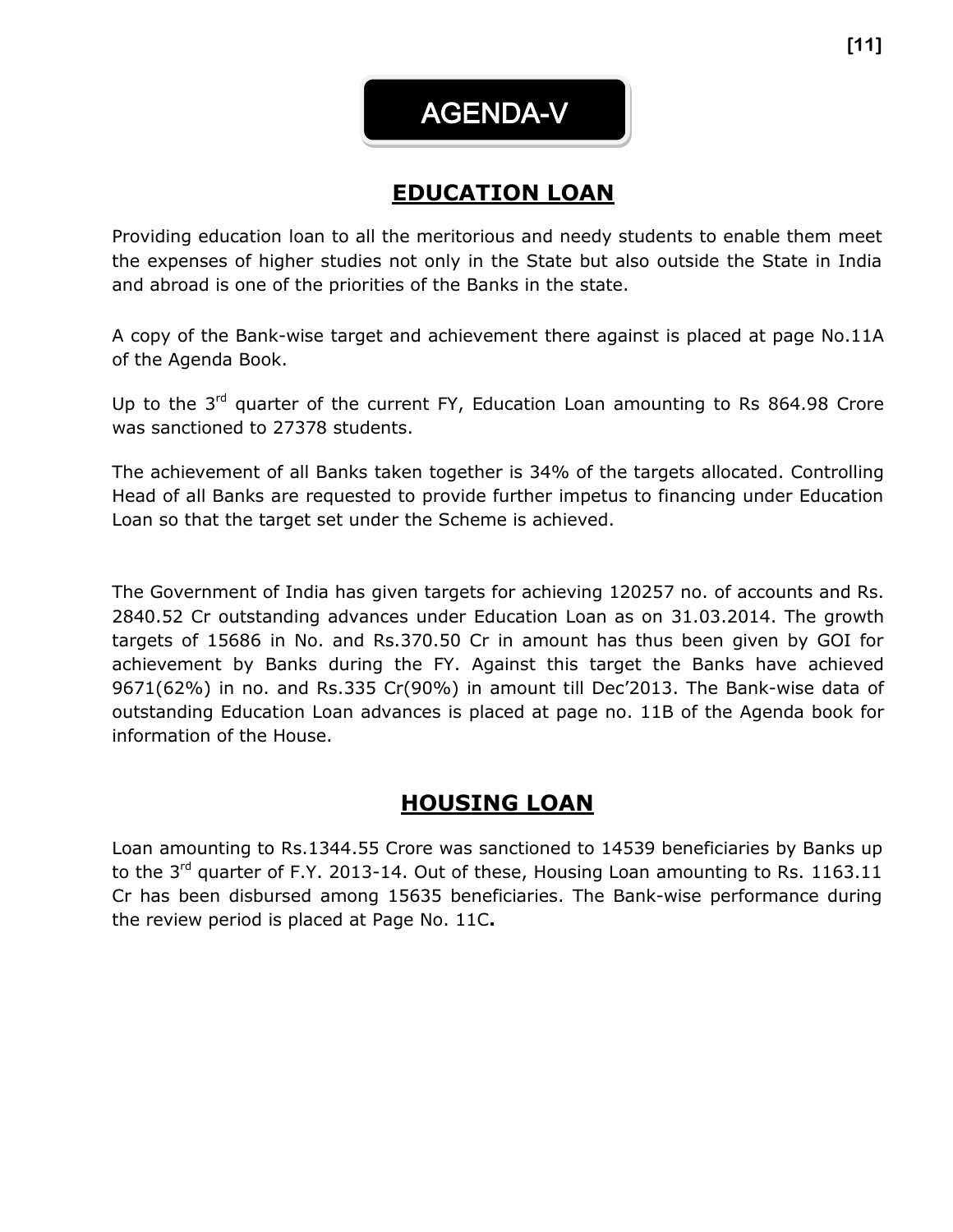AGENDA-V

### **EDUCATION LOAN**

Providing education loan to all the meritorious and needy students to enable them meet the expenses of higher studies not only in the State but also outside the State in India and abroad is one of the priorities of the Banks in the state.

A copy of the Bank-wise target and achievement there against is placed at page No.11A of the Agenda Book.

Up to the  $3^{rd}$  quarter of the current FY, Education Loan amounting to Rs 864.98 Crore was sanctioned to 27378 students.

The achievement of all Banks taken together is 34% of the targets allocated. Controlling Head of all Banks are requested to provide further impetus to financing under Education Loan so that the target set under the Scheme is achieved.

The Government of India has given targets for achieving 120257 no. of accounts and Rs. 2840.52 Cr outstanding advances under Education Loan as on 31.03.2014. The growth targets of 15686 in No. and Rs.370.50 Cr in amount has thus been given by GOI for achievement by Banks during the FY. Against this target the Banks have achieved 9671(62%) in no. and Rs.335 Cr(90%) in amount till Dec'2013. The Bank-wise data of outstanding Education Loan advances is placed at page no. 11B of the Agenda book for information of the House.

### **HOUSING LOAN**

Loan amounting to Rs.1344.55 Crore was sanctioned to 14539 beneficiaries by Banks up to the 3<sup>rd</sup> quarter of F.Y. 2013-14. Out of these, Housing Loan amounting to Rs. 1163.11 Cr has been disbursed among 15635 beneficiaries. The Bank-wise performance during the review period is placed at Page No. 11C**.**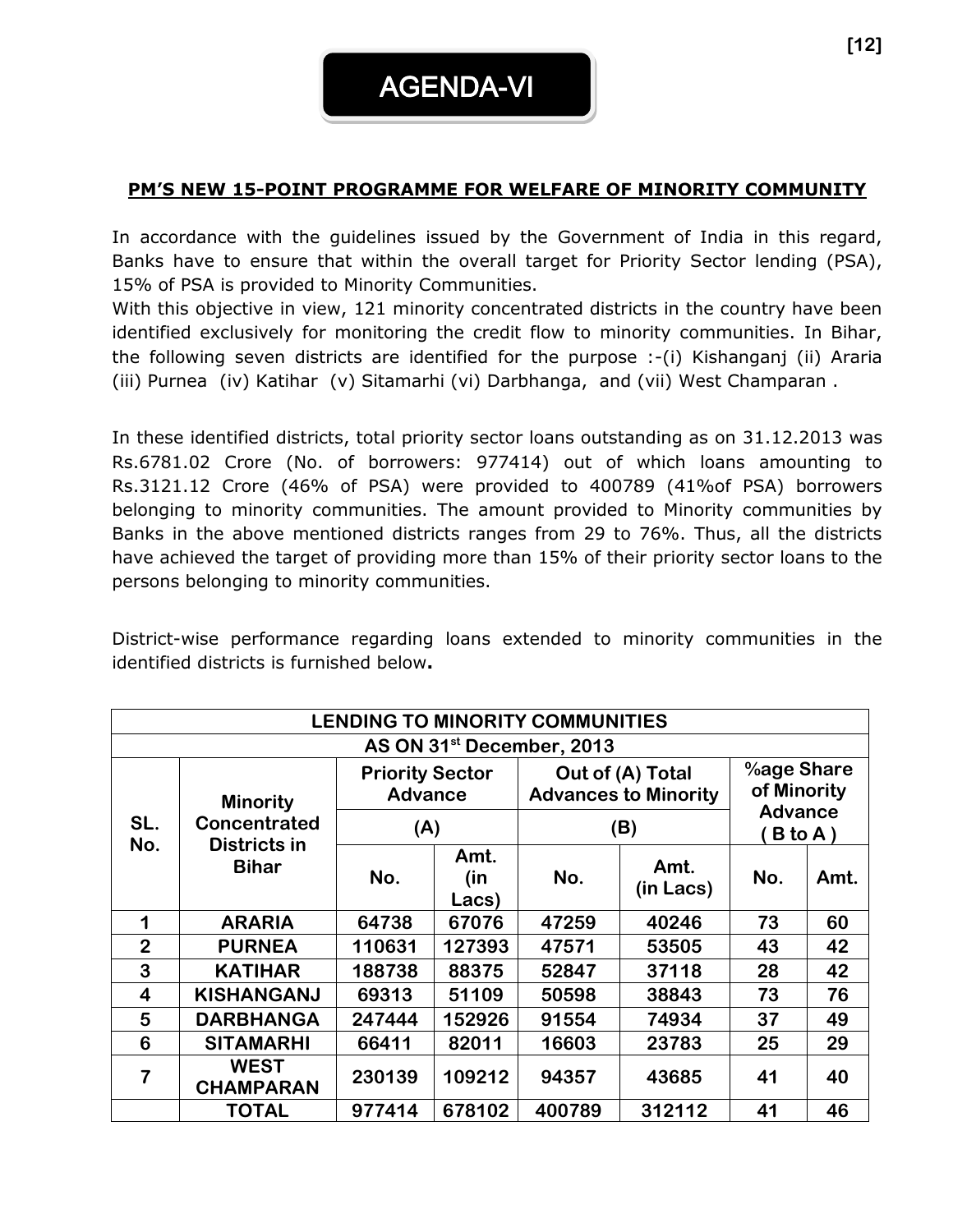#### **PM'S NEW 15-POINT PROGRAMME FOR WELFARE OF MINORITY COMMUNITY**

In accordance with the guidelines issued by the Government of India in this regard, Banks have to ensure that within the overall target for Priority Sector lending (PSA), 15% of PSA is provided to Minority Communities.

With this objective in view, 121 minority concentrated districts in the country have been identified exclusively for monitoring the credit flow to minority communities. In Bihar, the following seven districts are identified for the purpose :-(i) Kishanganj (ii) Araria (iii) Purnea (iv) Katihar (v) Sitamarhi (vi) Darbhanga, and (vii) West Champaran .

In these identified districts, total priority sector loans outstanding as on 31.12.2013 was Rs.6781.02 Crore (No. of borrowers: 977414) out of which loans amounting to Rs.3121.12 Crore (46% of PSA) were provided to 400789 (41%of PSA) borrowers belonging to minority communities. The amount provided to Minority communities by Banks in the above mentioned districts ranges from 29 to 76%. Thus, all the districts have achieved the target of providing more than 15% of their priority sector loans to the persons belonging to minority communities.

District-wise performance regarding loans extended to minority communities in the identified districts is furnished below**.**

| <b>LENDING TO MINORITY COMMUNITIES</b> |                                       |                                          |                      |        |                                                 |                            |      |  |  |  |  |
|----------------------------------------|---------------------------------------|------------------------------------------|----------------------|--------|-------------------------------------------------|----------------------------|------|--|--|--|--|
|                                        | AS ON 31 <sup>st</sup> December, 2013 |                                          |                      |        |                                                 |                            |      |  |  |  |  |
|                                        | <b>Minority</b>                       | <b>Priority Sector</b><br><b>Advance</b> |                      |        | Out of (A) Total<br><b>Advances to Minority</b> | %age Share<br>of Minority  |      |  |  |  |  |
| SL.                                    | <b>Concentrated</b>                   | (A)                                      |                      |        | (B)                                             | <b>Advance</b><br>$B$ to A |      |  |  |  |  |
| No.                                    | <b>Districts in</b><br><b>Bihar</b>   | No.                                      | Amt.<br>(in<br>Lacs) | No.    | Amt.<br>(in Lacs)                               | No.                        | Amt. |  |  |  |  |
| 1                                      | <b>ARARIA</b>                         | 64738                                    | 67076                | 47259  | 40246                                           | 73                         | 60   |  |  |  |  |
| $\overline{2}$                         | <b>PURNEA</b>                         | 110631                                   | 127393               | 47571  | 53505                                           | 43                         | 42   |  |  |  |  |
| 3                                      | <b>KATIHAR</b>                        | 188738                                   | 88375                | 52847  | 37118                                           | 28                         | 42   |  |  |  |  |
| $\overline{\mathbf{4}}$                | <b>KISHANGANJ</b>                     | 69313                                    | 51109                | 50598  | 38843                                           | 73                         | 76   |  |  |  |  |
| 5                                      | <b>DARBHANGA</b>                      | 247444                                   | 152926               | 91554  | 74934                                           | 37                         | 49   |  |  |  |  |
| 6                                      | <b>SITAMARHI</b>                      | 66411                                    | 82011                | 16603  | 23783                                           | 25                         | 29   |  |  |  |  |
| 7                                      | <b>WEST</b><br><b>CHAMPARAN</b>       | 230139                                   | 109212               | 94357  | 43685                                           | 41                         | 40   |  |  |  |  |
|                                        | <b>TOTAL</b>                          | 977414                                   | 678102               | 400789 | 312112                                          | 41                         | 46   |  |  |  |  |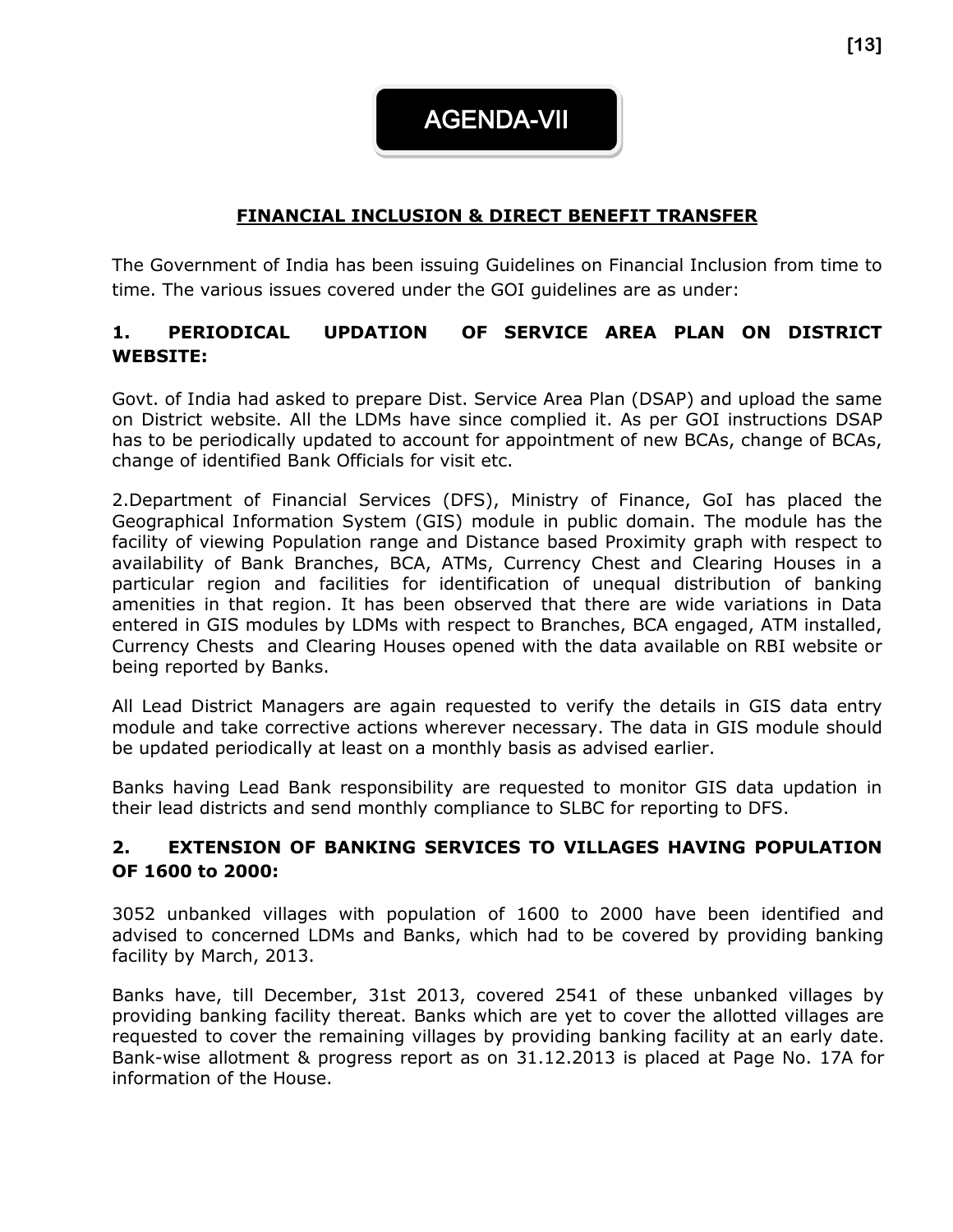AGENDA-VII

#### **FINANCIAL INCLUSION & DIRECT BENEFIT TRANSFER**

The Government of India has been issuing Guidelines on Financial Inclusion from time to time. The various issues covered under the GOI guidelines are as under:

#### **1. PERIODICAL UPDATION OF SERVICE AREA PLAN ON DISTRICT WEBSITE:**

Govt. of India had asked to prepare Dist. Service Area Plan (DSAP) and upload the same on District website. All the LDMs have since complied it. As per GOI instructions DSAP has to be periodically updated to account for appointment of new BCAs, change of BCAs, change of identified Bank Officials for visit etc.

2.Department of Financial Services (DFS), Ministry of Finance, GoI has placed the Geographical Information System (GIS) module in public domain. The module has the facility of viewing Population range and Distance based Proximity graph with respect to availability of Bank Branches, BCA, ATMs, Currency Chest and Clearing Houses in a particular region and facilities for identification of unequal distribution of banking amenities in that region. It has been observed that there are wide variations in Data entered in GIS modules by LDMs with respect to Branches, BCA engaged, ATM installed, Currency Chests and Clearing Houses opened with the data available on RBI website or being reported by Banks.

All Lead District Managers are again requested to verify the details in GIS data entry module and take corrective actions wherever necessary. The data in GIS module should be updated periodically at least on a monthly basis as advised earlier.

Banks having Lead Bank responsibility are requested to monitor GIS data updation in their lead districts and send monthly compliance to SLBC for reporting to DFS.

#### **2. EXTENSION OF BANKING SERVICES TO VILLAGES HAVING POPULATION OF 1600 to 2000:**

3052 unbanked villages with population of 1600 to 2000 have been identified and advised to concerned LDMs and Banks, which had to be covered by providing banking facility by March, 2013.

Banks have, till December, 31st 2013, covered 2541 of these unbanked villages by providing banking facility thereat. Banks which are yet to cover the allotted villages are requested to cover the remaining villages by providing banking facility at an early date. Bank-wise allotment & progress report as on 31.12.2013 is placed at Page No. 17A for information of the House.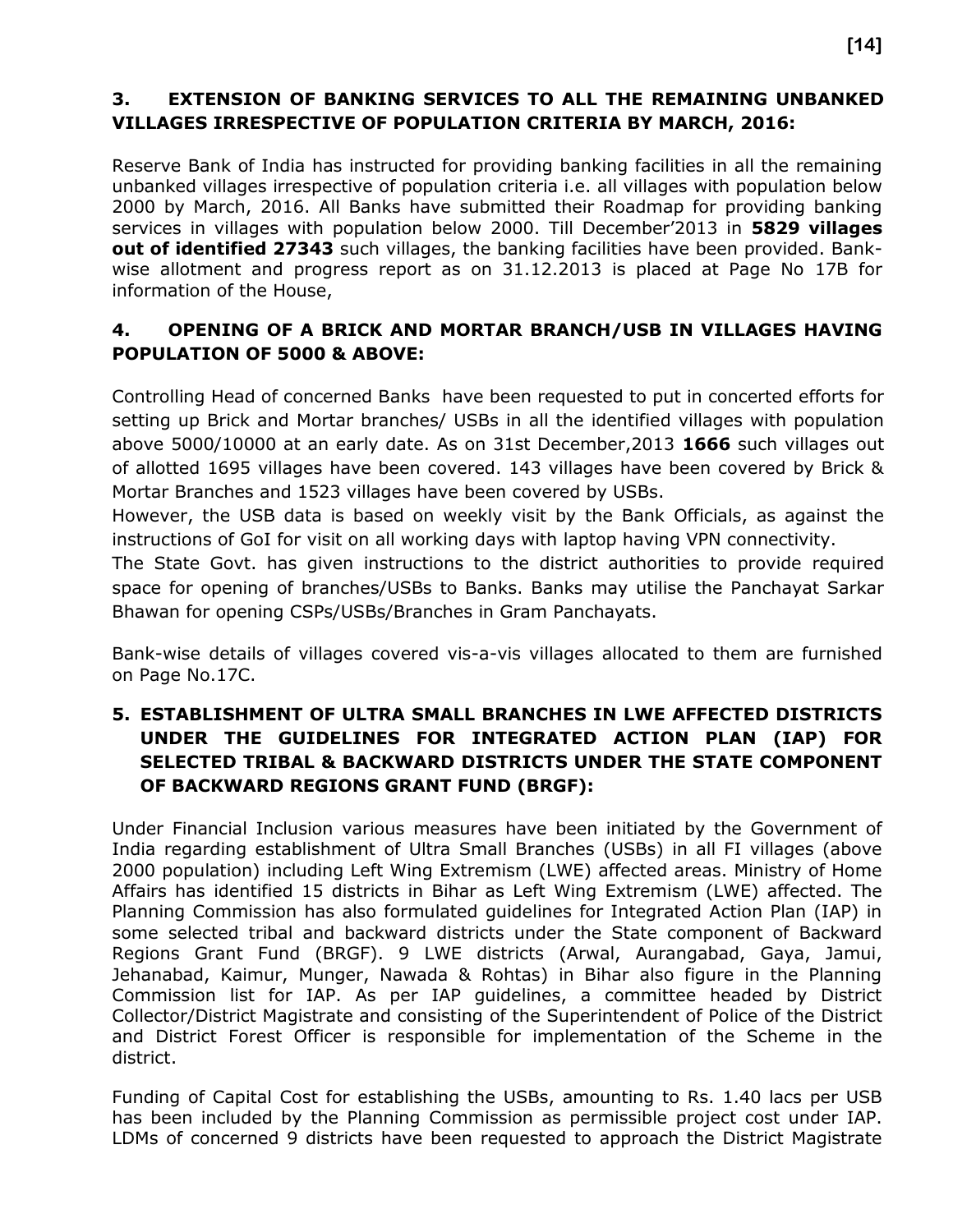#### **3. EXTENSION OF BANKING SERVICES TO ALL THE REMAINING UNBANKED VILLAGES IRRESPECTIVE OF POPULATION CRITERIA BY MARCH, 2016:**

Reserve Bank of India has instructed for providing banking facilities in all the remaining unbanked villages irrespective of population criteria i.e. all villages with population below 2000 by March, 2016. All Banks have submitted their Roadmap for providing banking services in villages with population below 2000. Till December'2013 in **5829 villages out of identified 27343** such villages, the banking facilities have been provided. Bankwise allotment and progress report as on 31.12.2013 is placed at Page No 17B for information of the House,

#### **4. OPENING OF A BRICK AND MORTAR BRANCH/USB IN VILLAGES HAVING POPULATION OF 5000 & ABOVE:**

Controlling Head of concerned Banks have been requested to put in concerted efforts for setting up Brick and Mortar branches/ USBs in all the identified villages with population above 5000/10000 at an early date. As on 31st December,2013 **1666** such villages out of allotted 1695 villages have been covered. 143 villages have been covered by Brick & Mortar Branches and 1523 villages have been covered by USBs.

However, the USB data is based on weekly visit by the Bank Officials, as against the instructions of GoI for visit on all working days with laptop having VPN connectivity.

The State Govt. has given instructions to the district authorities to provide required space for opening of branches/USBs to Banks. Banks may utilise the Panchayat Sarkar Bhawan for opening CSPs/USBs/Branches in Gram Panchayats.

Bank-wise details of villages covered vis-a-vis villages allocated to them are furnished on Page No.17C.

#### **5. ESTABLISHMENT OF ULTRA SMALL BRANCHES IN LWE AFFECTED DISTRICTS UNDER THE GUIDELINES FOR INTEGRATED ACTION PLAN (IAP) FOR SELECTED TRIBAL & BACKWARD DISTRICTS UNDER THE STATE COMPONENT OF BACKWARD REGIONS GRANT FUND (BRGF):**

Under Financial Inclusion various measures have been initiated by the Government of India regarding establishment of Ultra Small Branches (USBs) in all FI villages (above 2000 population) including Left Wing Extremism (LWE) affected areas. Ministry of Home Affairs has identified 15 districts in Bihar as Left Wing Extremism (LWE) affected. The Planning Commission has also formulated guidelines for Integrated Action Plan (IAP) in some selected tribal and backward districts under the State component of Backward Regions Grant Fund (BRGF). 9 LWE districts (Arwal, Aurangabad, Gaya, Jamui, Jehanabad, Kaimur, Munger, Nawada & Rohtas) in Bihar also figure in the Planning Commission list for IAP. As per IAP guidelines, a committee headed by District Collector/District Magistrate and consisting of the Superintendent of Police of the District and District Forest Officer is responsible for implementation of the Scheme in the district.

Funding of Capital Cost for establishing the USBs, amounting to Rs. 1.40 lacs per USB has been included by the Planning Commission as permissible project cost under IAP. LDMs of concerned 9 districts have been requested to approach the District Magistrate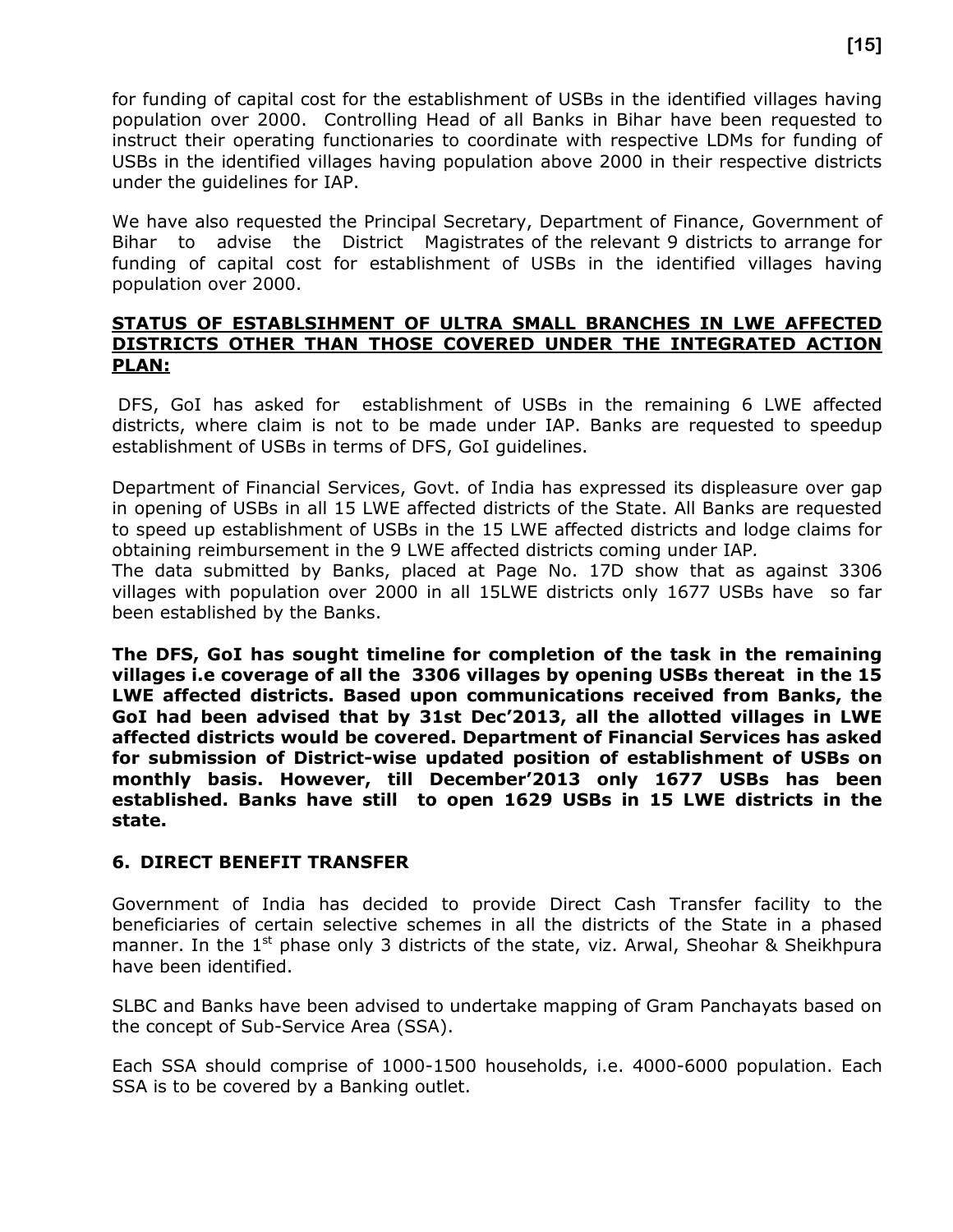for funding of capital cost for the establishment of USBs in the identified villages having population over 2000. Controlling Head of all Banks in Bihar have been requested to instruct their operating functionaries to coordinate with respective LDMs for funding of USBs in the identified villages having population above 2000 in their respective districts under the guidelines for IAP.

We have also requested the Principal Secretary, Department of Finance, Government of Bihar to advise the District Magistrates of the relevant 9 districts to arrange for funding of capital cost for establishment of USBs in the identified villages having population over 2000.

#### **STATUS OF ESTABLSIHMENT OF ULTRA SMALL BRANCHES IN LWE AFFECTED DISTRICTS OTHER THAN THOSE COVERED UNDER THE INTEGRATED ACTION PLAN:**

DFS, GoI has asked for establishment of USBs in the remaining 6 LWE affected districts, where claim is not to be made under IAP. Banks are requested to speedup establishment of USBs in terms of DFS, GoI guidelines.

Department of Financial Services, Govt. of India has expressed its displeasure over gap in opening of USBs in all 15 LWE affected districts of the State. All Banks are requested to speed up establishment of USBs in the 15 LWE affected districts and lodge claims for obtaining reimbursement in the 9 LWE affected districts coming under IAP*.*

The data submitted by Banks, placed at Page No. 17D show that as against 3306 villages with population over 2000 in all 15LWE districts only 1677 USBs have so far been established by the Banks.

**The DFS, GoI has sought timeline for completion of the task in the remaining villages i.e coverage of all the 3306 villages by opening USBs thereat in the 15 LWE affected districts. Based upon communications received from Banks, the GoI had been advised that by 31st Dec'2013, all the allotted villages in LWE affected districts would be covered. Department of Financial Services has asked for submission of District-wise updated position of establishment of USBs on monthly basis. However, till December'2013 only 1677 USBs has been established. Banks have still to open 1629 USBs in 15 LWE districts in the state.**

#### **6. DIRECT BENEFIT TRANSFER**

Government of India has decided to provide Direct Cash Transfer facility to the beneficiaries of certain selective schemes in all the districts of the State in a phased manner. In the  $1<sup>st</sup>$  phase only 3 districts of the state, viz. Arwal, Sheohar & Sheikhpura have been identified.

SLBC and Banks have been advised to undertake mapping of Gram Panchayats based on the concept of Sub-Service Area (SSA).

Each SSA should comprise of 1000-1500 households, i.e. 4000-6000 population. Each SSA is to be covered by a Banking outlet.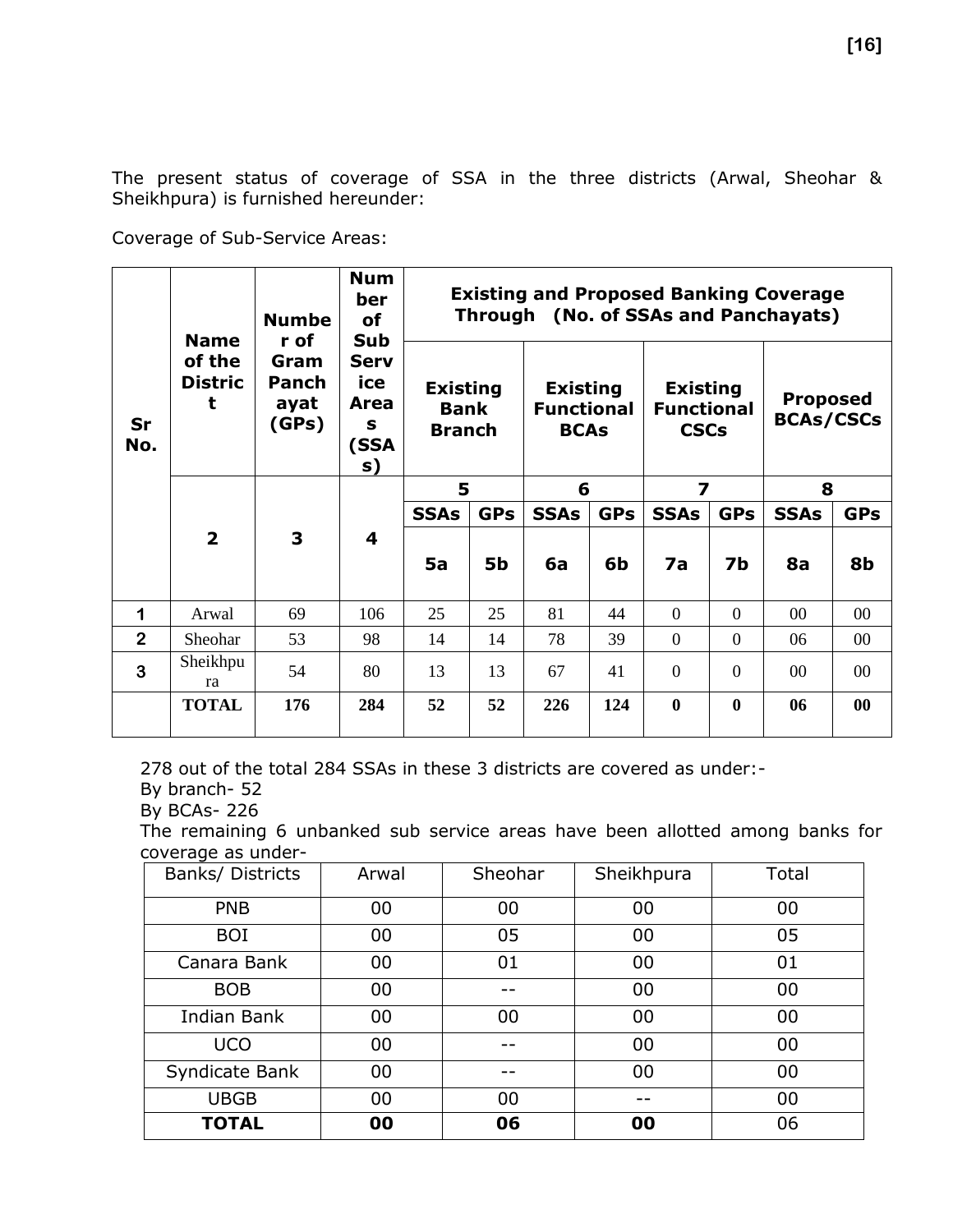The present status of coverage of SSA in the three districts (Arwal, Sheohar & Sheikhpura) is furnished hereunder:

Coverage of Sub-Service Areas:

|                      | <b>Name</b>                   | <b>Numbe</b><br>r of           | <b>Num</b><br>ber<br><b>of</b><br>Sub         |                                                 |            |                                                     |            |                                                     |                | <b>Existing and Proposed Banking Coverage</b><br>Through (No. of SSAs and Panchayats) |                 |
|----------------------|-------------------------------|--------------------------------|-----------------------------------------------|-------------------------------------------------|------------|-----------------------------------------------------|------------|-----------------------------------------------------|----------------|---------------------------------------------------------------------------------------|-----------------|
| Sr<br>No.            | of the<br><b>Distric</b><br>t | Gram<br>Panch<br>ayat<br>(GPs) | <b>Serv</b><br>ice<br>Area<br>s<br>(SSA<br>s) | <b>Existing</b><br><b>Bank</b><br><b>Branch</b> |            | <b>Existing</b><br><b>Functional</b><br><b>BCAs</b> |            | <b>Existing</b><br><b>Functional</b><br><b>CSCs</b> |                | <b>Proposed</b><br><b>BCAs/CSCs</b>                                                   |                 |
|                      |                               |                                |                                               | 5                                               |            | 6                                                   |            | 7                                                   |                | 8                                                                                     |                 |
|                      |                               |                                |                                               | <b>SSAs</b>                                     | <b>GPs</b> | <b>SSAs</b>                                         | <b>GPs</b> | <b>SSAs</b>                                         | <b>GPs</b>     | <b>SSAs</b>                                                                           | <b>GPs</b>      |
|                      | $\overline{2}$                | 3                              | $\overline{\mathbf{4}}$                       |                                                 |            |                                                     |            |                                                     |                |                                                                                       |                 |
|                      |                               |                                |                                               | 5a                                              | <b>5b</b>  | 6a                                                  | 6b         | 7a                                                  | 7b             | <b>8a</b>                                                                             | 8b              |
| $\blacktriangleleft$ | Arwal                         | 69                             | 106                                           | 25                                              | 25         | 81                                                  | 44         | $\overline{0}$                                      | $\overline{0}$ | $00\,$                                                                                | $00\,$          |
| $\overline{2}$       | Sheohar                       | 53                             | 98                                            | 14                                              | 14         | 78                                                  | 39         | $\overline{0}$                                      | $\overline{0}$ | 06                                                                                    | 00              |
| 3                    | Sheikhpu<br>ra                | 54                             | 80                                            | 13                                              | 13         | 67                                                  | 41         | $\overline{0}$                                      | $\Omega$       | $00\,$                                                                                | 00 <sup>1</sup> |
|                      | <b>TOTAL</b>                  | 176                            | 284                                           | 52                                              | 52         | 226                                                 | 124        | $\bf{0}$                                            | $\bf{0}$       | 06                                                                                    | $\bf{00}$       |

278 out of the total 284 SSAs in these 3 districts are covered as under:-

By branch- 52

By BCAs- 226

The remaining 6 unbanked sub service areas have been allotted among banks for coverage as under-

| Banks/ Districts   | Arwal | Sheohar | Sheikhpura | Total |
|--------------------|-------|---------|------------|-------|
| <b>PNB</b>         | 00    | 00      | 00         | 00    |
| <b>BOI</b>         | 00    | 05      | 00         | 05    |
| Canara Bank        | 00    | 01      | 00         | 01    |
| <b>BOB</b>         | 00    |         | 00         | 00    |
| <b>Indian Bank</b> | 00    | 00      | 00         | 00    |
| <b>UCO</b>         | 00    |         | 00         | 00    |
| Syndicate Bank     | 00    |         | 00         | 00    |
| <b>UBGB</b>        | 00    | 00      |            | 00    |
| <b>TOTAL</b>       | 00    | 06      | 00         | 06    |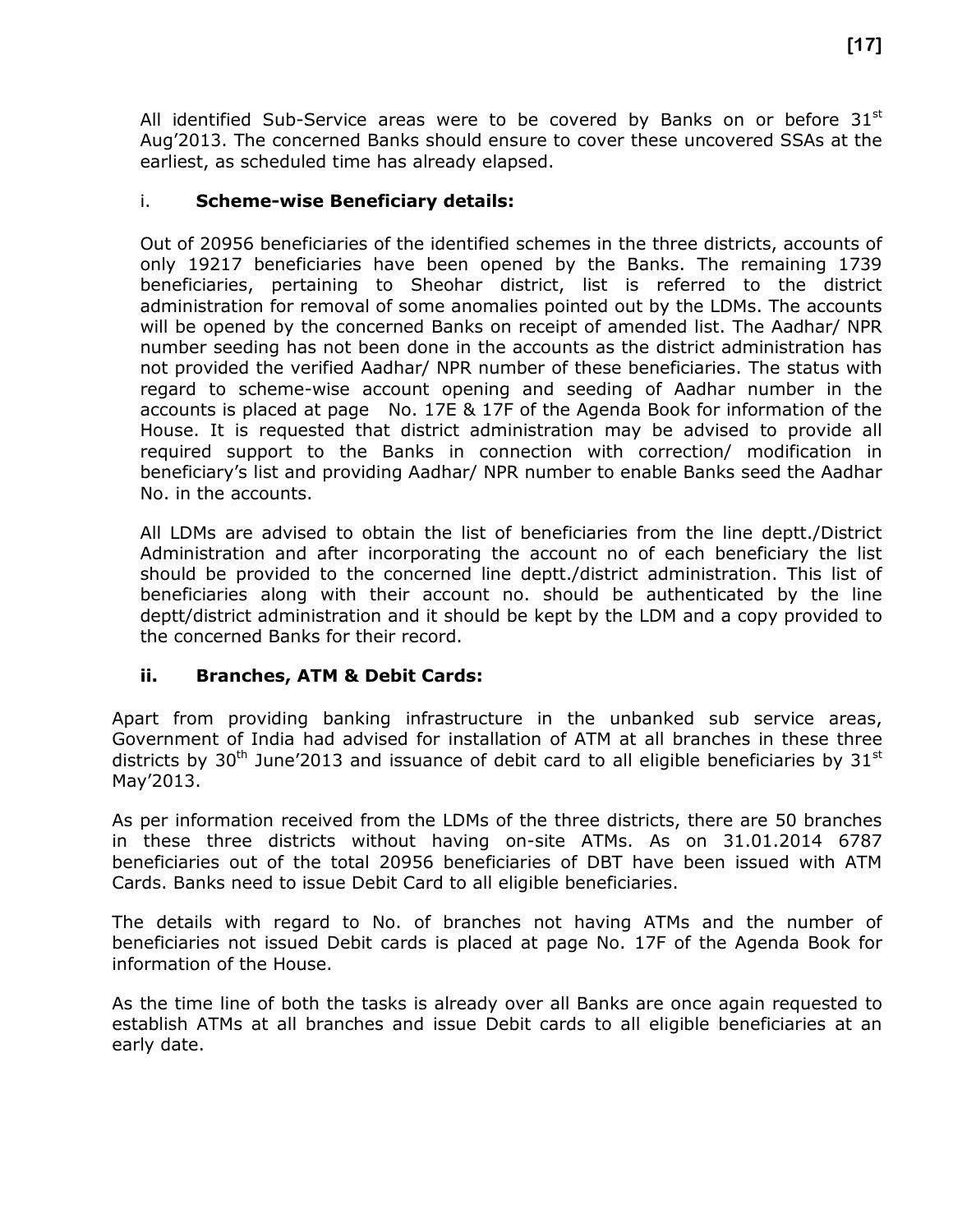All identified Sub-Service areas were to be covered by Banks on or before  $31^{st}$ Aug'2013. The concerned Banks should ensure to cover these uncovered SSAs at the earliest, as scheduled time has already elapsed.

#### i. **Scheme-wise Beneficiary details:**

Out of 20956 beneficiaries of the identified schemes in the three districts, accounts of only 19217 beneficiaries have been opened by the Banks. The remaining 1739 beneficiaries, pertaining to Sheohar district, list is referred to the district administration for removal of some anomalies pointed out by the LDMs. The accounts will be opened by the concerned Banks on receipt of amended list. The Aadhar/ NPR number seeding has not been done in the accounts as the district administration has not provided the verified Aadhar/ NPR number of these beneficiaries. The status with regard to scheme-wise account opening and seeding of Aadhar number in the accounts is placed at page No. 17E & 17F of the Agenda Book for information of the House. It is requested that district administration may be advised to provide all required support to the Banks in connection with correction/ modification in beneficiary's list and providing Aadhar/ NPR number to enable Banks seed the Aadhar No. in the accounts.

All LDMs are advised to obtain the list of beneficiaries from the line deptt./District Administration and after incorporating the account no of each beneficiary the list should be provided to the concerned line deptt./district administration. This list of beneficiaries along with their account no. should be authenticated by the line deptt/district administration and it should be kept by the LDM and a copy provided to the concerned Banks for their record.

#### **ii. Branches, ATM & Debit Cards:**

Apart from providing banking infrastructure in the unbanked sub service areas, Government of India had advised for installation of ATM at all branches in these three districts by 30<sup>th</sup> June'2013 and issuance of debit card to all eligible beneficiaries by 31<sup>st</sup> May'2013.

As per information received from the LDMs of the three districts, there are 50 branches in these three districts without having on-site ATMs. As on 31.01.2014 6787 beneficiaries out of the total 20956 beneficiaries of DBT have been issued with ATM Cards. Banks need to issue Debit Card to all eligible beneficiaries.

The details with regard to No. of branches not having ATMs and the number of beneficiaries not issued Debit cards is placed at page No. 17F of the Agenda Book for information of the House.

As the time line of both the tasks is already over all Banks are once again requested to establish ATMs at all branches and issue Debit cards to all eligible beneficiaries at an early date.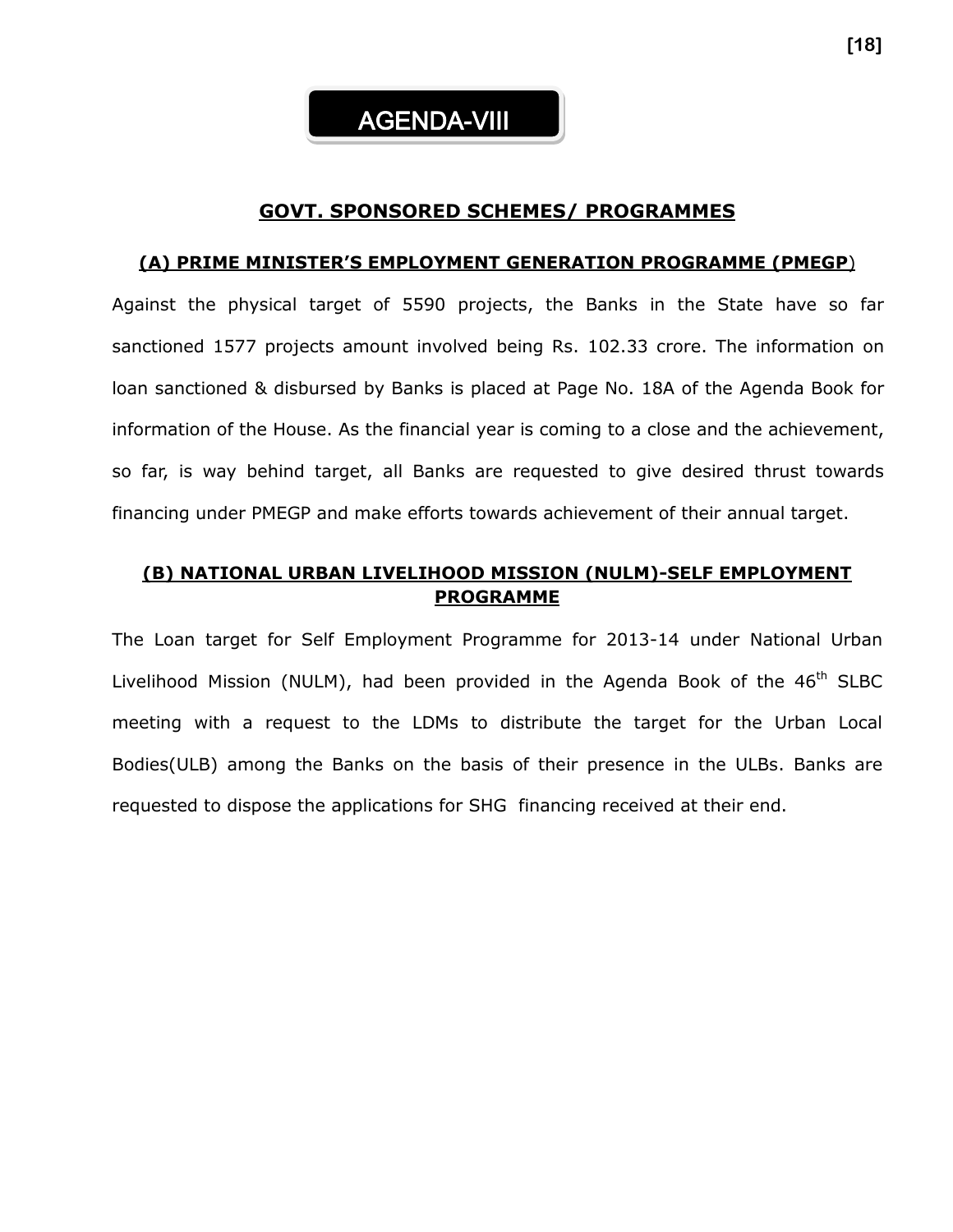

#### **GOVT. SPONSORED SCHEMES/ PROGRAMMES**

#### **(A) PRIME MINISTER'S EMPLOYMENT GENERATION PROGRAMME (PMEGP**)

Against the physical target of 5590 projects, the Banks in the State have so far sanctioned 1577 projects amount involved being Rs. 102.33 crore. The information on loan sanctioned & disbursed by Banks is placed at Page No. 18A of the Agenda Book for information of the House. As the financial year is coming to a close and the achievement, so far, is way behind target, all Banks are requested to give desired thrust towards financing under PMEGP and make efforts towards achievement of their annual target.

#### **(B) NATIONAL URBAN LIVELIHOOD MISSION (NULM)-SELF EMPLOYMENT PROGRAMME**

The Loan target for Self Employment Programme for 2013-14 under National Urban Livelihood Mission (NULM), had been provided in the Agenda Book of the 46<sup>th</sup> SLBC meeting with a request to the LDMs to distribute the target for the Urban Local Bodies(ULB) among the Banks on the basis of their presence in the ULBs. Banks are requested to dispose the applications for SHG financing received at their end.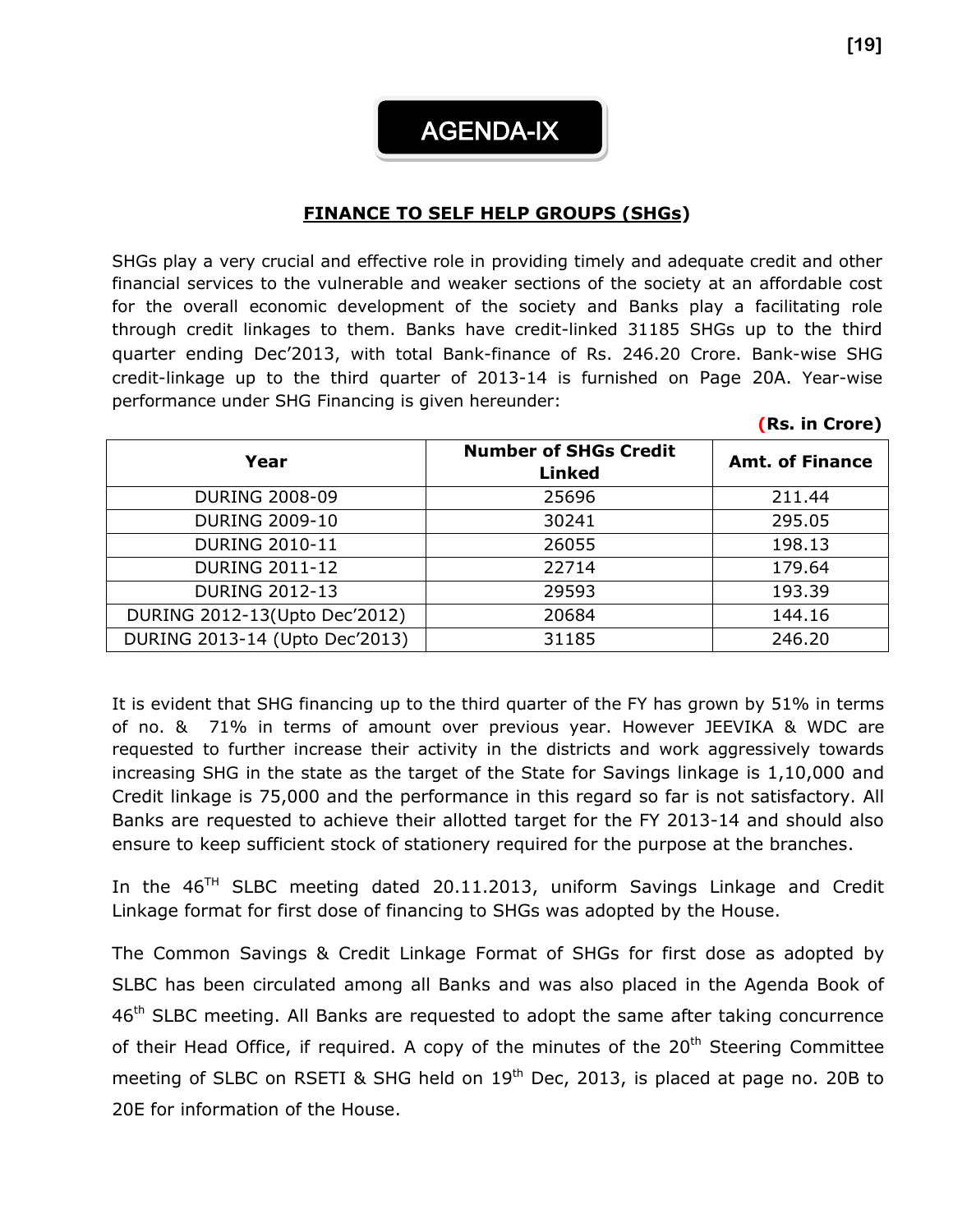# AGENDA-IX

#### **FINANCE TO SELF HELP GROUPS (SHGs)**

SHGs play a very crucial and effective role in providing timely and adequate credit and other financial services to the vulnerable and weaker sections of the society at an affordable cost for the overall economic development of the society and Banks play a facilitating role through credit linkages to them. Banks have credit-linked 31185 SHGs up to the third quarter ending Dec'2013, with total Bank-finance of Rs. 246.20 Crore. Bank-wise SHG credit-linkage up to the third quarter of 2013-14 is furnished on Page 20A. Year-wise performance under SHG Financing is given hereunder:

| Year                           | <b>Number of SHGs Credit</b><br><b>Linked</b> | <b>Amt. of Finance</b> |
|--------------------------------|-----------------------------------------------|------------------------|
| <b>DURING 2008-09</b>          | 25696                                         | 211.44                 |
| <b>DURING 2009-10</b>          | 30241                                         | 295.05                 |
| <b>DURING 2010-11</b>          | 26055                                         | 198.13                 |
| <b>DURING 2011-12</b>          | 22714                                         | 179.64                 |
| <b>DURING 2012-13</b>          | 29593                                         | 193.39                 |
| DURING 2012-13(Upto Dec'2012)  | 20684                                         | 144.16                 |
| DURING 2013-14 (Upto Dec'2013) | 31185                                         | 246.20                 |

It is evident that SHG financing up to the third quarter of the FY has grown by 51% in terms of no. & 71% in terms of amount over previous year. However JEEVIKA & WDC are requested to further increase their activity in the districts and work aggressively towards increasing SHG in the state as the target of the State for Savings linkage is 1,10,000 and Credit linkage is 75,000 and the performance in this regard so far is not satisfactory. All Banks are requested to achieve their allotted target for the FY 2013-14 and should also ensure to keep sufficient stock of stationery required for the purpose at the branches.

In the 46<sup>TH</sup> SLBC meeting dated 20.11.2013, uniform Savings Linkage and Credit Linkage format for first dose of financing to SHGs was adopted by the House.

The Common Savings & Credit Linkage Format of SHGs for first dose as adopted by SLBC has been circulated among all Banks and was also placed in the Agenda Book of 46<sup>th</sup> SLBC meeting. All Banks are requested to adopt the same after taking concurrence of their Head Office, if required. A copy of the minutes of the  $20<sup>th</sup>$  Steering Committee meeting of SLBC on RSETI & SHG held on  $19<sup>th</sup>$  Dec, 2013, is placed at page no. 20B to 20E for information of the House.

**(Rs. in Crore)**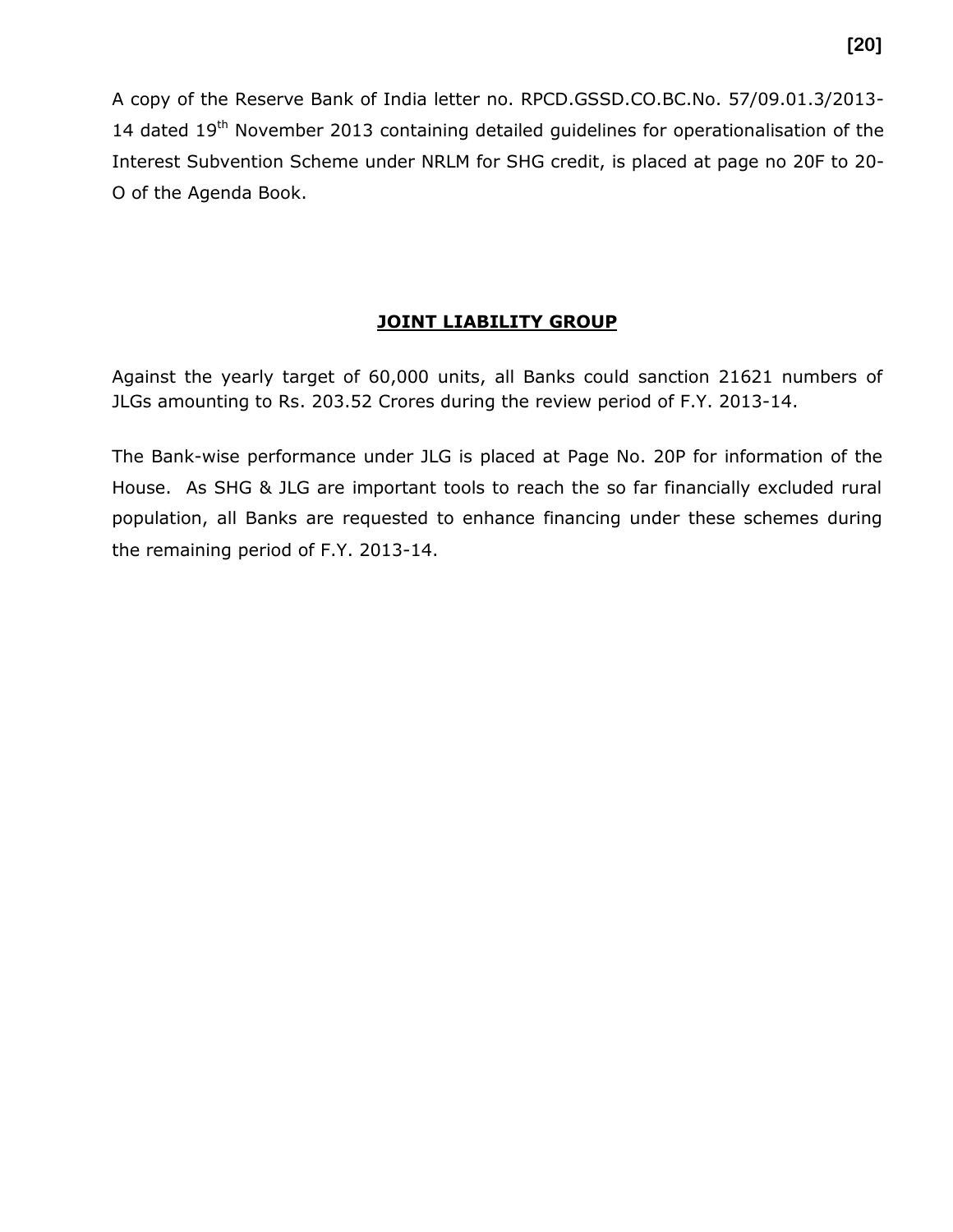A copy of the Reserve Bank of India letter no. RPCD.GSSD.CO.BC.No. 57/09.01.3/2013- 14 dated  $19<sup>th</sup>$  November 2013 containing detailed quidelines for operationalisation of the Interest Subvention Scheme under NRLM for SHG credit, is placed at page no 20F to 20- O of the Agenda Book.

#### **JOINT LIABILITY GROUP**

Against the yearly target of 60,000 units, all Banks could sanction 21621 numbers of JLGs amounting to Rs. 203.52 Crores during the review period of F.Y. 2013-14.

The Bank-wise performance under JLG is placed at Page No. 20P for information of the House. As SHG & JLG are important tools to reach the so far financially excluded rural population, all Banks are requested to enhance financing under these schemes during the remaining period of F.Y. 2013-14.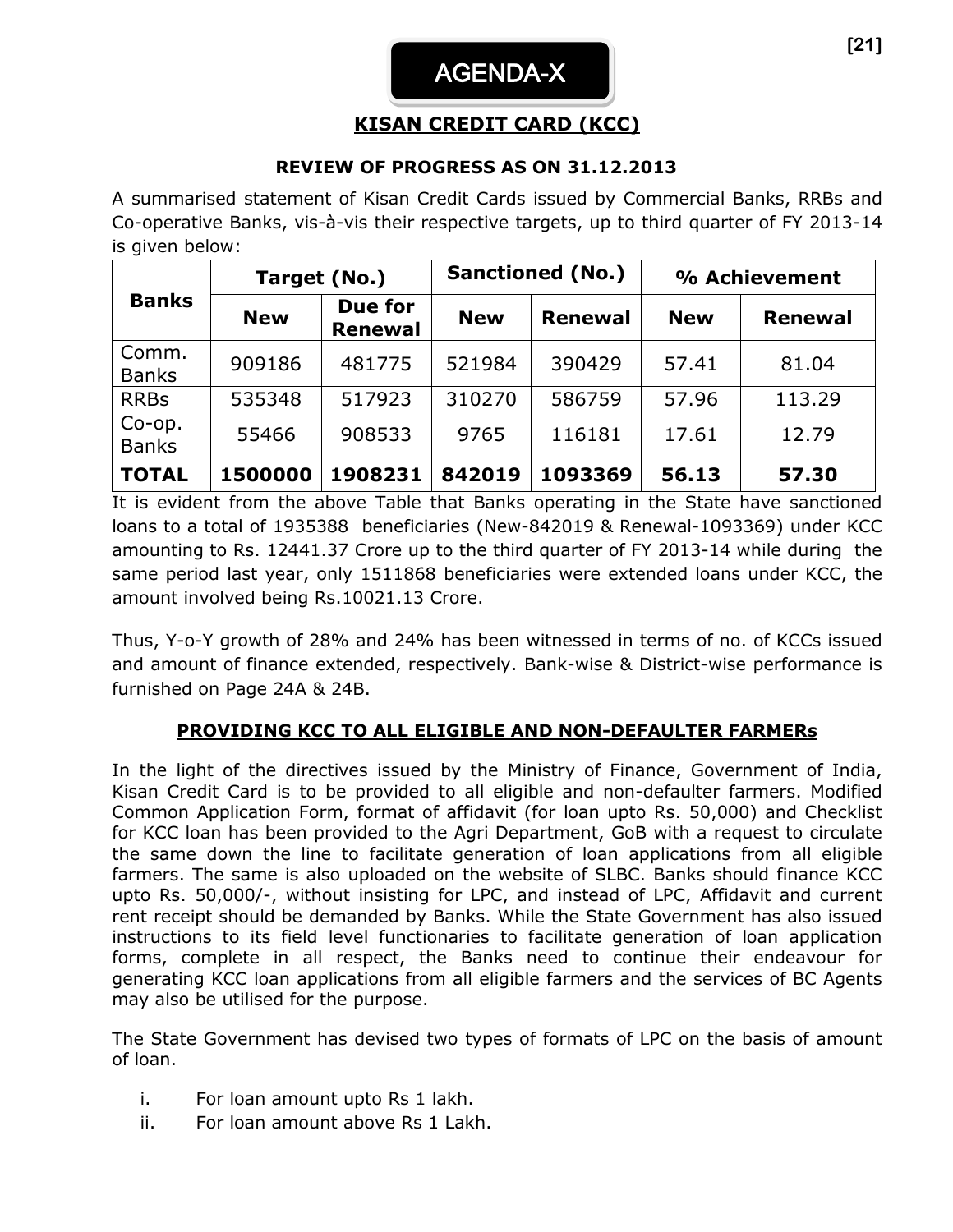# AGENDA-X

### **KISAN CREDIT CARD (KCC)**

#### **REVIEW OF PROGRESS AS ON 31.12.2013**

A summarised statement of Kisan Credit Cards issued by Commercial Banks, RRBs and Co-operative Banks, vis-à-vis their respective targets, up to third quarter of FY 2013-14 is given below:

|                        | Target (No.) |                           |            | <b>Sanctioned (No.)</b> | % Achievement |                |  |
|------------------------|--------------|---------------------------|------------|-------------------------|---------------|----------------|--|
| <b>Banks</b>           | <b>New</b>   | Due for<br><b>Renewal</b> | <b>New</b> | <b>Renewal</b>          | <b>New</b>    | <b>Renewal</b> |  |
| Comm.<br><b>Banks</b>  | 909186       | 481775                    | 521984     | 390429                  | 57.41         | 81.04          |  |
| <b>RRBs</b>            | 535348       | 517923                    | 310270     | 586759                  | 57.96         | 113.29         |  |
| Co-op.<br><b>Banks</b> | 55466        | 908533                    | 9765       | 116181                  | 17.61         | 12.79          |  |
| <b>TOTAL</b>           | 1500000      | 1908231                   | 842019     | 1093369                 | 56.13         | 57.30          |  |

It is evident from the above Table that Banks operating in the State have sanctioned loans to a total of 1935388 beneficiaries (New-842019 & Renewal-1093369) under KCC amounting to Rs. 12441.37 Crore up to the third quarter of FY 2013-14 while during the same period last year, only 1511868 beneficiaries were extended loans under KCC, the amount involved being Rs.10021.13 Crore.

Thus, Y-o-Y growth of 28% and 24% has been witnessed in terms of no. of KCCs issued and amount of finance extended, respectively. Bank-wise & District-wise performance is furnished on Page 24A & 24B.

#### **PROVIDING KCC TO ALL ELIGIBLE AND NON-DEFAULTER FARMERs**

In the light of the directives issued by the Ministry of Finance, Government of India, Kisan Credit Card is to be provided to all eligible and non-defaulter farmers. Modified Common Application Form, format of affidavit (for loan upto Rs. 50,000) and Checklist for KCC loan has been provided to the Agri Department, GoB with a request to circulate the same down the line to facilitate generation of loan applications from all eligible farmers. The same is also uploaded on the website of SLBC. Banks should finance KCC upto Rs. 50,000/-, without insisting for LPC, and instead of LPC, Affidavit and current rent receipt should be demanded by Banks. While the State Government has also issued instructions to its field level functionaries to facilitate generation of loan application forms, complete in all respect, the Banks need to continue their endeavour for generating KCC loan applications from all eligible farmers and the services of BC Agents may also be utilised for the purpose.

The State Government has devised two types of formats of LPC on the basis of amount of loan.

- i. For loan amount upto Rs 1 lakh.
- ii. For loan amount above Rs 1 Lakh.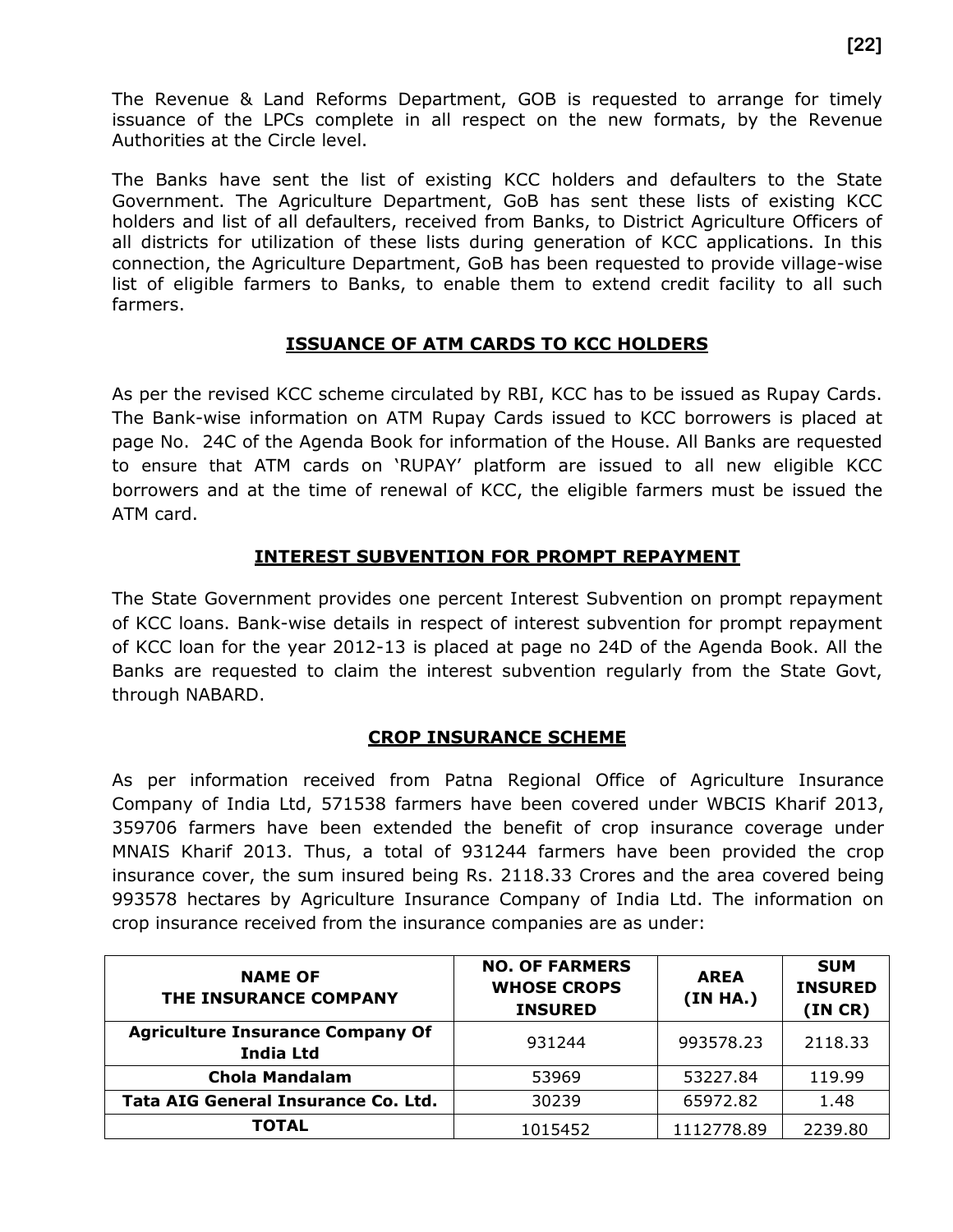The Revenue & Land Reforms Department, GOB is requested to arrange for timely issuance of the LPCs complete in all respect on the new formats, by the Revenue Authorities at the Circle level.

The Banks have sent the list of existing KCC holders and defaulters to the State Government. The Agriculture Department, GoB has sent these lists of existing KCC holders and list of all defaulters, received from Banks, to District Agriculture Officers of all districts for utilization of these lists during generation of KCC applications. In this connection, the Agriculture Department, GoB has been requested to provide village-wise list of eligible farmers to Banks, to enable them to extend credit facility to all such farmers.

#### **ISSUANCE OF ATM CARDS TO KCC HOLDERS**

As per the revised KCC scheme circulated by RBI, KCC has to be issued as Rupay Cards. The Bank-wise information on ATM Rupay Cards issued to KCC borrowers is placed at page No. 24C of the Agenda Book for information of the House. All Banks are requested to ensure that ATM cards on 'RUPAY' platform are issued to all new eligible KCC borrowers and at the time of renewal of KCC, the eligible farmers must be issued the ATM card.

#### **INTEREST SUBVENTION FOR PROMPT REPAYMENT**

The State Government provides one percent Interest Subvention on prompt repayment of KCC loans. Bank-wise details in respect of interest subvention for prompt repayment of KCC loan for the year 2012-13 is placed at page no 24D of the Agenda Book. All the Banks are requested to claim the interest subvention regularly from the State Govt, through NABARD.

#### **CROP INSURANCE SCHEME**

As per information received from Patna Regional Office of Agriculture Insurance Company of India Ltd, 571538 farmers have been covered under WBCIS Kharif 2013, 359706 farmers have been extended the benefit of crop insurance coverage under MNAIS Kharif 2013. Thus, a total of 931244 farmers have been provided the crop insurance cover, the sum insured being Rs. 2118.33 Crores and the area covered being 993578 hectares by Agriculture Insurance Company of India Ltd. The information on crop insurance received from the insurance companies are as under:

| <b>NAME OF</b><br>THE INSURANCE COMPANY                     | <b>NO. OF FARMERS</b><br><b>WHOSE CROPS</b><br><b>INSURED</b> | <b>AREA</b><br>(IN HA.) | <b>SUM</b><br><b>INSURED</b><br>(INCR) |
|-------------------------------------------------------------|---------------------------------------------------------------|-------------------------|----------------------------------------|
| <b>Agriculture Insurance Company Of</b><br><b>India Ltd</b> | 931244                                                        | 993578.23               | 2118.33                                |
| <b>Chola Mandalam</b>                                       | 53969                                                         | 53227.84                | 119.99                                 |
| <b>Tata AIG General Insurance Co. Ltd.</b>                  | 30239                                                         | 65972.82                | 1.48                                   |
| TOTAL                                                       | 1015452                                                       | 1112778.89              | 2239.80                                |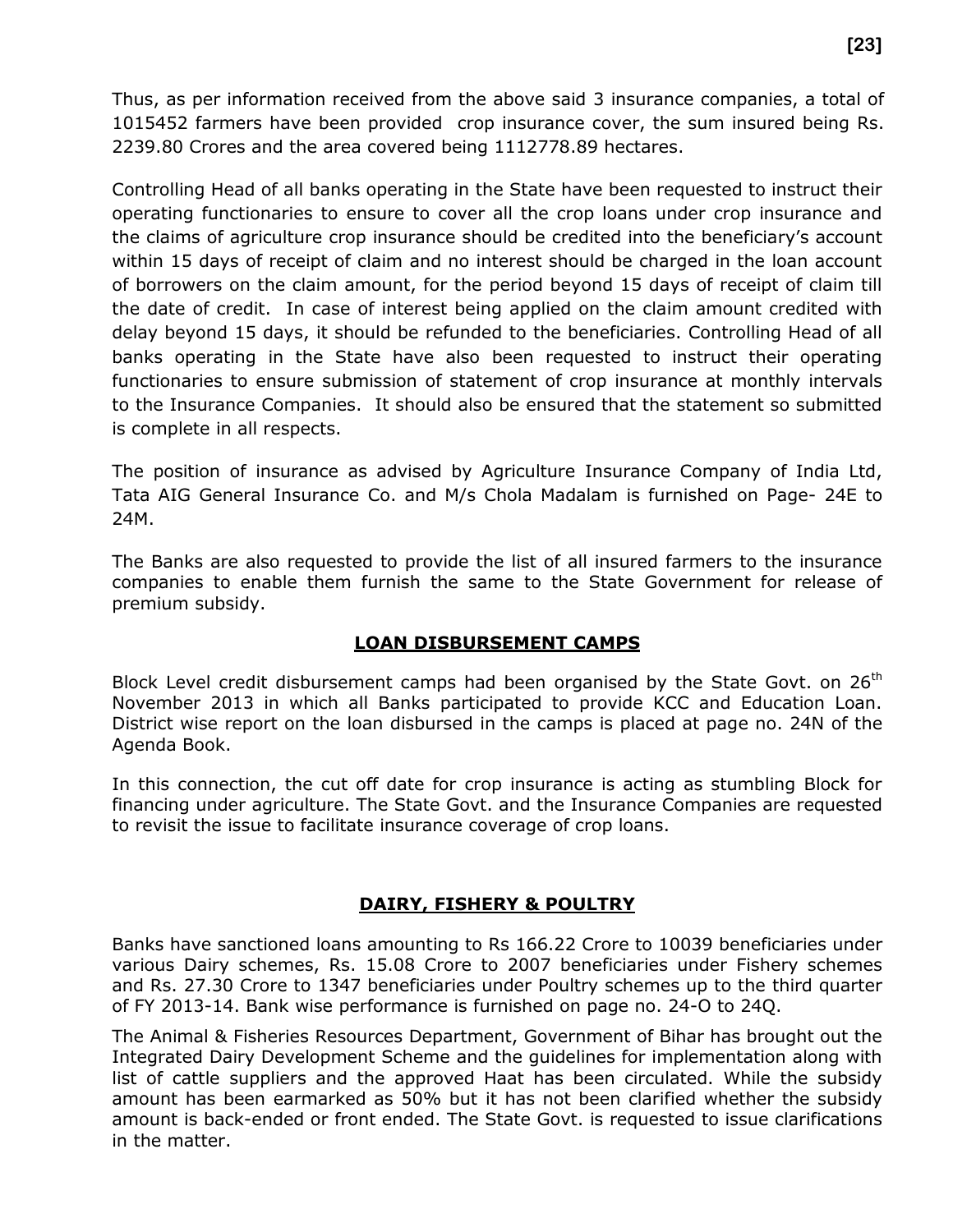Thus, as per information received from the above said 3 insurance companies, a total of 1015452 farmers have been provided crop insurance cover, the sum insured being Rs. 2239.80 Crores and the area covered being 1112778.89 hectares.

Controlling Head of all banks operating in the State have been requested to instruct their operating functionaries to ensure to cover all the crop loans under crop insurance and the claims of agriculture crop insurance should be credited into the beneficiary's account within 15 days of receipt of claim and no interest should be charged in the loan account of borrowers on the claim amount, for the period beyond 15 days of receipt of claim till the date of credit. In case of interest being applied on the claim amount credited with delay beyond 15 days, it should be refunded to the beneficiaries. Controlling Head of all banks operating in the State have also been requested to instruct their operating functionaries to ensure submission of statement of crop insurance at monthly intervals to the Insurance Companies. It should also be ensured that the statement so submitted is complete in all respects.

The position of insurance as advised by Agriculture Insurance Company of India Ltd, Tata AIG General Insurance Co. and M/s Chola Madalam is furnished on Page- 24E to 24M.

The Banks are also requested to provide the list of all insured farmers to the insurance companies to enable them furnish the same to the State Government for release of premium subsidy.

#### **LOAN DISBURSEMENT CAMPS**

Block Level credit disbursement camps had been organised by the State Govt. on 26<sup>th</sup> November 2013 in which all Banks participated to provide KCC and Education Loan. District wise report on the loan disbursed in the camps is placed at page no. 24N of the Agenda Book.

In this connection, the cut off date for crop insurance is acting as stumbling Block for financing under agriculture. The State Govt. and the Insurance Companies are requested to revisit the issue to facilitate insurance coverage of crop loans.

#### **DAIRY, FISHERY & POULTRY**

Banks have sanctioned loans amounting to Rs 166.22 Crore to 10039 beneficiaries under various Dairy schemes, Rs. 15.08 Crore to 2007 beneficiaries under Fishery schemes and Rs. 27.30 Crore to 1347 beneficiaries under Poultry schemes up to the third quarter of FY 2013-14. Bank wise performance is furnished on page no. 24-O to 24Q.

The Animal & Fisheries Resources Department, Government of Bihar has brought out the Integrated Dairy Development Scheme and the guidelines for implementation along with list of cattle suppliers and the approved Haat has been circulated. While the subsidy amount has been earmarked as 50% but it has not been clarified whether the subsidy amount is back-ended or front ended. The State Govt. is requested to issue clarifications in the matter.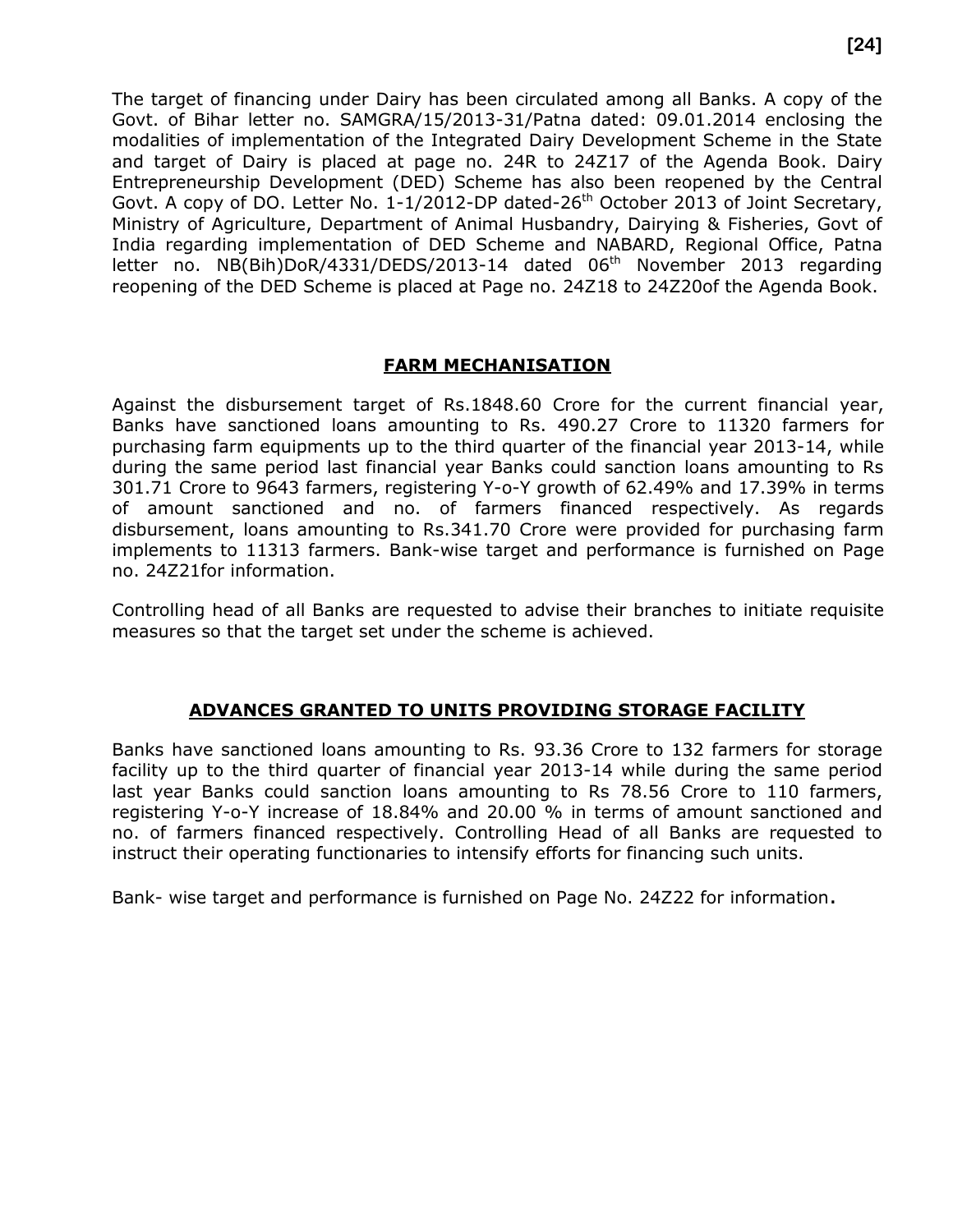The target of financing under Dairy has been circulated among all Banks. A copy of the Govt. of Bihar letter no. SAMGRA/15/2013-31/Patna dated: 09.01.2014 enclosing the modalities of implementation of the Integrated Dairy Development Scheme in the State and target of Dairy is placed at page no. 24R to 24Z17 of the Agenda Book. Dairy Entrepreneurship Development (DED) Scheme has also been reopened by the Central Govt. A copy of DO. Letter No.  $1-1/2012$ -DP dated-26<sup>th</sup> October 2013 of Joint Secretary, Ministry of Agriculture, Department of Animal Husbandry, Dairying & Fisheries, Govt of India regarding implementation of DED Scheme and NABARD, Regional Office, Patna letter no.  $NB(Bih)DoR/4331/DEDS/2013-14$  dated  $06<sup>th</sup>$  November 2013 regarding reopening of the DED Scheme is placed at Page no. 24Z18 to 24Z20of the Agenda Book.

#### **FARM MECHANISATION**

Against the disbursement target of Rs.1848.60 Crore for the current financial year, Banks have sanctioned loans amounting to Rs. 490.27 Crore to 11320 farmers for purchasing farm equipments up to the third quarter of the financial year 2013-14, while during the same period last financial year Banks could sanction loans amounting to Rs 301.71 Crore to 9643 farmers, registering Y-o-Y growth of 62.49% and 17.39% in terms of amount sanctioned and no. of farmers financed respectively. As regards disbursement, loans amounting to Rs.341.70 Crore were provided for purchasing farm implements to 11313 farmers. Bank-wise target and performance is furnished on Page no. 24Z21for information.

Controlling head of all Banks are requested to advise their branches to initiate requisite measures so that the target set under the scheme is achieved.

#### **ADVANCES GRANTED TO UNITS PROVIDING STORAGE FACILITY**

Banks have sanctioned loans amounting to Rs. 93.36 Crore to 132 farmers for storage facility up to the third quarter of financial year 2013-14 while during the same period last year Banks could sanction loans amounting to Rs 78.56 Crore to 110 farmers, registering Y-o-Y increase of 18.84% and 20.00 % in terms of amount sanctioned and no. of farmers financed respectively. Controlling Head of all Banks are requested to instruct their operating functionaries to intensify efforts for financing such units.

Bank- wise target and performance is furnished on Page No. 24Z22 for information.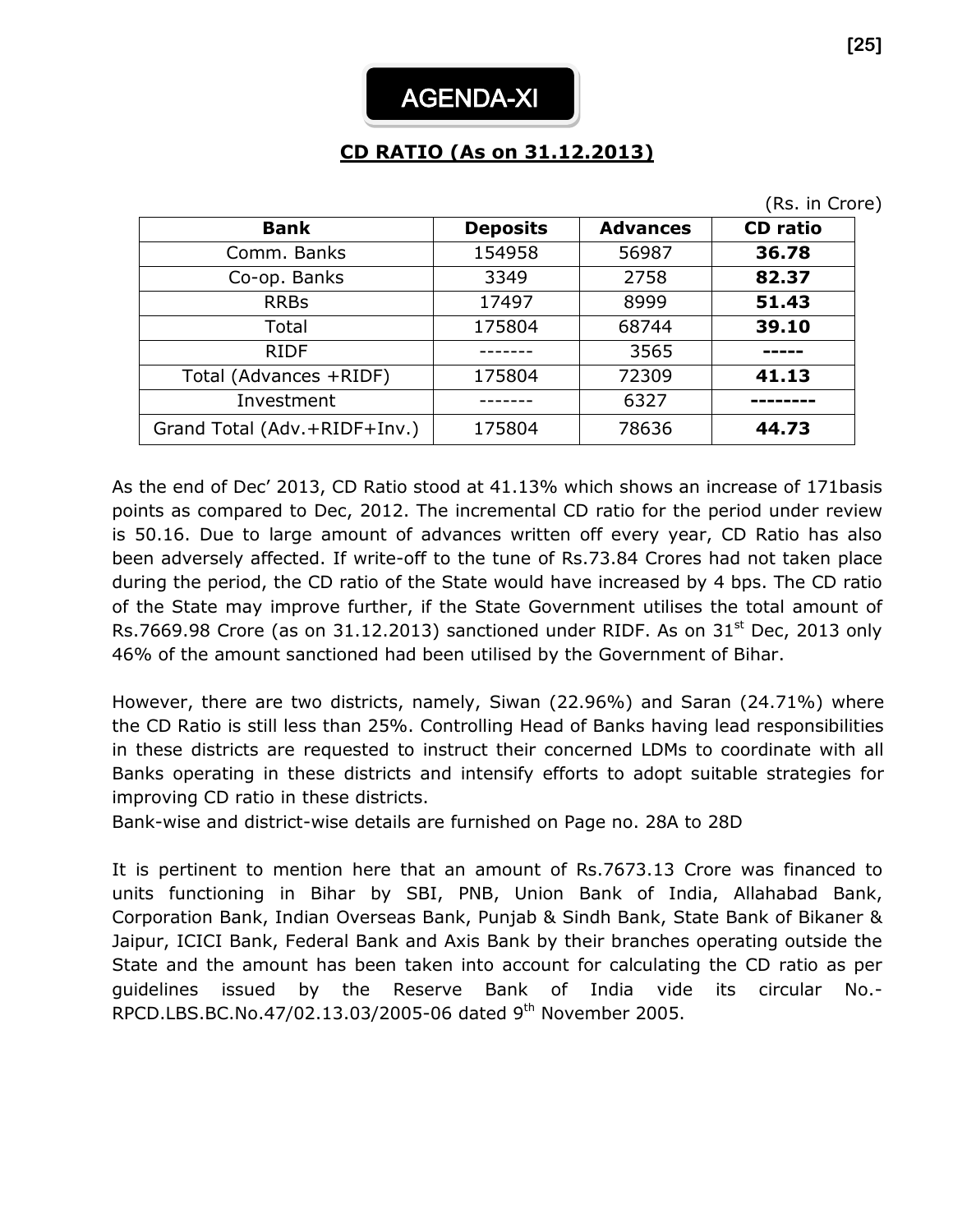# **CD RATIO (As on 31.12.2013)**

|                              |                 |                 | (Rs. in Crore)  |
|------------------------------|-----------------|-----------------|-----------------|
| <b>Bank</b>                  | <b>Deposits</b> | <b>Advances</b> | <b>CD</b> ratio |
| Comm. Banks                  | 154958          | 56987           | 36.78           |
| Co-op. Banks                 | 3349            | 2758            | 82.37           |
| <b>RRBs</b>                  | 17497           | 8999            | 51.43           |
| Total                        | 175804          | 68744           | 39.10           |
| <b>RIDF</b>                  |                 | 3565            |                 |
| Total (Advances +RIDF)       | 175804          | 72309           | 41.13           |
| Investment                   |                 | 6327            |                 |
| Grand Total (Adv.+RIDF+Inv.) | 175804          | 78636           | 44.73           |

As the end of Dec' 2013, CD Ratio stood at 41.13% which shows an increase of 171basis points as compared to Dec, 2012. The incremental CD ratio for the period under review is 50.16. Due to large amount of advances written off every year, CD Ratio has also been adversely affected. If write-off to the tune of Rs.73.84 Crores had not taken place during the period, the CD ratio of the State would have increased by 4 bps. The CD ratio of the State may improve further, if the State Government utilises the total amount of Rs.7669.98 Crore (as on 31.12.2013) sanctioned under RIDF. As on  $31<sup>st</sup>$  Dec, 2013 only 46% of the amount sanctioned had been utilised by the Government of Bihar.

However, there are two districts, namely, Siwan (22.96%) and Saran (24.71%) where the CD Ratio is still less than 25%. Controlling Head of Banks having lead responsibilities in these districts are requested to instruct their concerned LDMs to coordinate with all Banks operating in these districts and intensify efforts to adopt suitable strategies for improving CD ratio in these districts.

Bank-wise and district-wise details are furnished on Page no. 28A to 28D

It is pertinent to mention here that an amount of Rs.7673.13 Crore was financed to units functioning in Bihar by SBI, PNB, Union Bank of India, Allahabad Bank, Corporation Bank, Indian Overseas Bank, Punjab & Sindh Bank, State Bank of Bikaner & Jaipur, ICICI Bank, Federal Bank and Axis Bank by their branches operating outside the State and the amount has been taken into account for calculating the CD ratio as per guidelines issued by the Reserve Bank of India vide its circular No.- RPCD.LBS.BC.No.47/02.13.03/2005-06 dated 9th November 2005.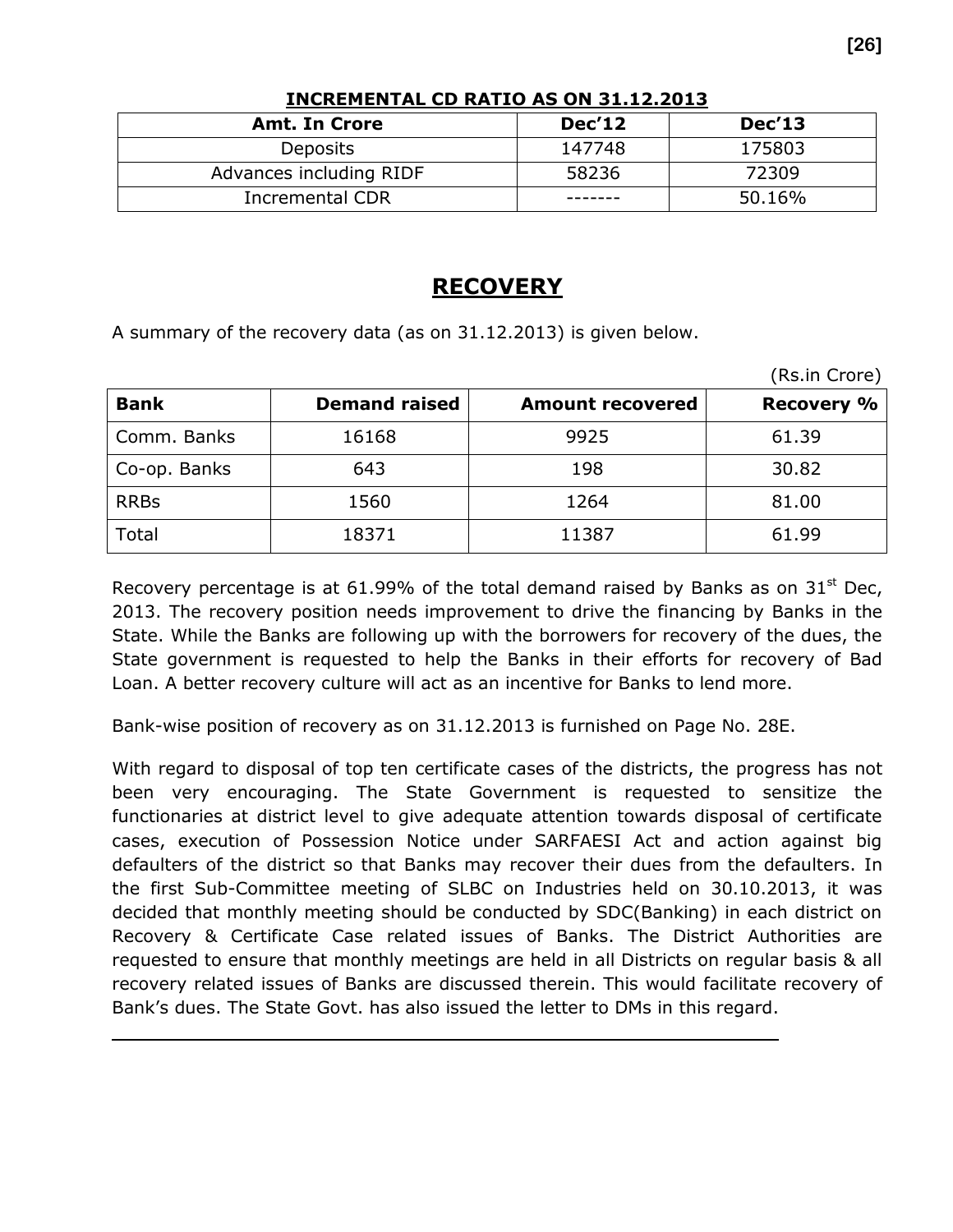| <b>Amt. In Crore</b>    | <b>Dec'12</b> | <b>Dec'13</b> |
|-------------------------|---------------|---------------|
| Deposits                | 147748        | 175803        |
| Advances including RIDF | 58236         | 72309         |
| <b>Incremental CDR</b>  |               | 50.16%        |

#### **INCREMENTAL CD RATIO AS ON 31.12.2013**

### **RECOVERY**

A summary of the recovery data (as on 31.12.2013) is given below.

|              |                      |                         | (Rs.in Crore)     |
|--------------|----------------------|-------------------------|-------------------|
| <b>Bank</b>  | <b>Demand raised</b> | <b>Amount recovered</b> | <b>Recovery %</b> |
| Comm. Banks  | 16168                | 9925                    | 61.39             |
| Co-op. Banks | 643                  | 198                     | 30.82             |
| <b>RRBs</b>  | 1560                 | 1264                    | 81.00             |
| Total        | 18371                | 11387                   | 61.99             |

Recovery percentage is at 61.99% of the total demand raised by Banks as on 31 $^{\rm st}$  Dec, 2013. The recovery position needs improvement to drive the financing by Banks in the State. While the Banks are following up with the borrowers for recovery of the dues, the State government is requested to help the Banks in their efforts for recovery of Bad Loan. A better recovery culture will act as an incentive for Banks to lend more.

Bank-wise position of recovery as on 31.12.2013 is furnished on Page No. 28E.

With regard to disposal of top ten certificate cases of the districts, the progress has not been very encouraging. The State Government is requested to sensitize the functionaries at district level to give adequate attention towards disposal of certificate cases, execution of Possession Notice under SARFAESI Act and action against big defaulters of the district so that Banks may recover their dues from the defaulters. In the first Sub-Committee meeting of SLBC on Industries held on 30.10.2013, it was decided that monthly meeting should be conducted by SDC(Banking) in each district on Recovery & Certificate Case related issues of Banks. The District Authorities are requested to ensure that monthly meetings are held in all Districts on regular basis & all recovery related issues of Banks are discussed therein. This would facilitate recovery of Bank's dues. The State Govt. has also issued the letter to DMs in this regard.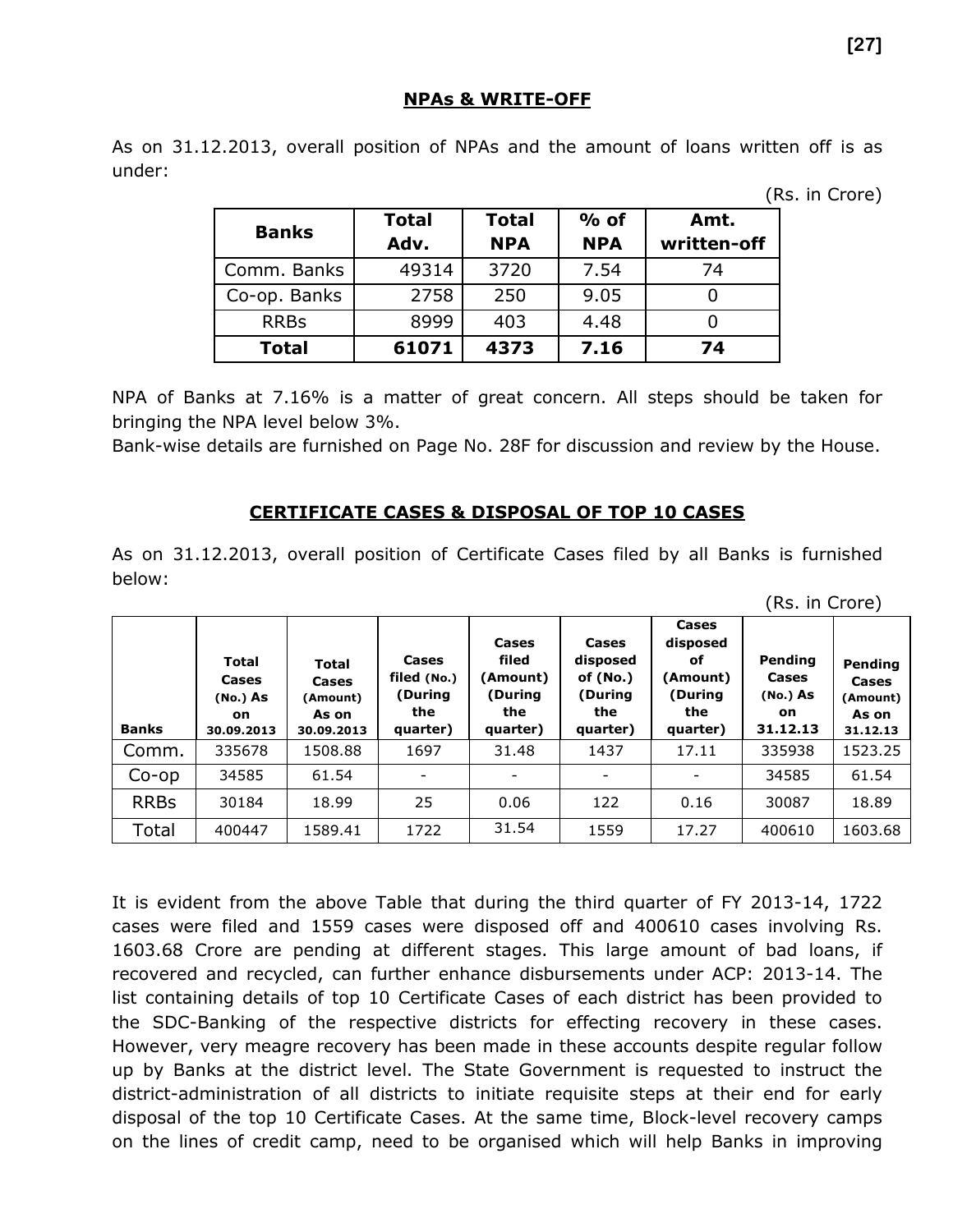#### **NPAs & WRITE-OFF**

As on 31.12.2013, overall position of NPAs and the amount of loans written off is as under:

(Rs. in Crore)

(Rs. in Crore)

| <b>Banks</b> | <b>Total</b><br>Adv. | <b>Total</b><br><b>NPA</b> | $%$ of<br><b>NPA</b> | Amt.<br>written-off |
|--------------|----------------------|----------------------------|----------------------|---------------------|
| Comm. Banks  | 49314                | 3720                       | 7.54                 | 74                  |
| Co-op. Banks | 2758                 | 250                        | 9.05                 |                     |
| <b>RRBs</b>  | 8999                 | 403                        | 4.48                 |                     |
| <b>Total</b> | 61071                | 4373                       | 7.16                 | 74                  |

NPA of Banks at 7.16% is a matter of great concern. All steps should be taken for bringing the NPA level below 3%.

Bank-wise details are furnished on Page No. 28F for discussion and review by the House.

#### **CERTIFICATE CASES & DISPOSAL OF TOP 10 CASES**

As on 31.12.2013, overall position of Certificate Cases filed by all Banks is furnished below:

| <b>Banks</b> | <b>Total</b><br>Cases<br>(No.) As<br>on.<br>30.09.2013 | Total<br>Cases<br>(Amount)<br>As on<br>30.09.2013 | Cases<br>filed (No.)<br>(During<br>the<br>quarter) | Cases<br>filed<br>(Amount)<br>(During<br>the<br>quarter) | Cases<br>disposed<br>of $(No.)$<br>(During<br>the<br>quarter) | Cases<br>disposed<br>оf<br>(Amount)<br>(During<br>the<br>quarter) | Pending<br>Cases<br>(No.) As<br>on.<br>31.12.13 | Pending<br>Cases<br>(Amount)<br>As on<br>31.12.13 |
|--------------|--------------------------------------------------------|---------------------------------------------------|----------------------------------------------------|----------------------------------------------------------|---------------------------------------------------------------|-------------------------------------------------------------------|-------------------------------------------------|---------------------------------------------------|
| Comm.        | 335678                                                 | 1508.88                                           | 1697                                               | 31.48                                                    | 1437                                                          | 17.11                                                             | 335938                                          | 1523.25                                           |
| $Co$ -op     | 34585                                                  | 61.54                                             |                                                    |                                                          | -                                                             |                                                                   | 34585                                           | 61.54                                             |
| <b>RRBs</b>  | 30184                                                  | 18.99                                             | 25                                                 | 0.06                                                     | 122                                                           | 0.16                                                              | 30087                                           | 18.89                                             |
| Total        | 400447                                                 | 1589.41                                           | 1722                                               | 31.54                                                    | 1559                                                          | 17.27                                                             | 400610                                          | 1603.68                                           |

It is evident from the above Table that during the third quarter of FY 2013-14, 1722 cases were filed and 1559 cases were disposed off and 400610 cases involving Rs. 1603.68 Crore are pending at different stages. This large amount of bad loans, if recovered and recycled, can further enhance disbursements under ACP: 2013-14. The list containing details of top 10 Certificate Cases of each district has been provided to the SDC-Banking of the respective districts for effecting recovery in these cases. However, very meagre recovery has been made in these accounts despite regular follow up by Banks at the district level. The State Government is requested to instruct the district-administration of all districts to initiate requisite steps at their end for early disposal of the top 10 Certificate Cases. At the same time, Block-level recovery camps on the lines of credit camp, need to be organised which will help Banks in improving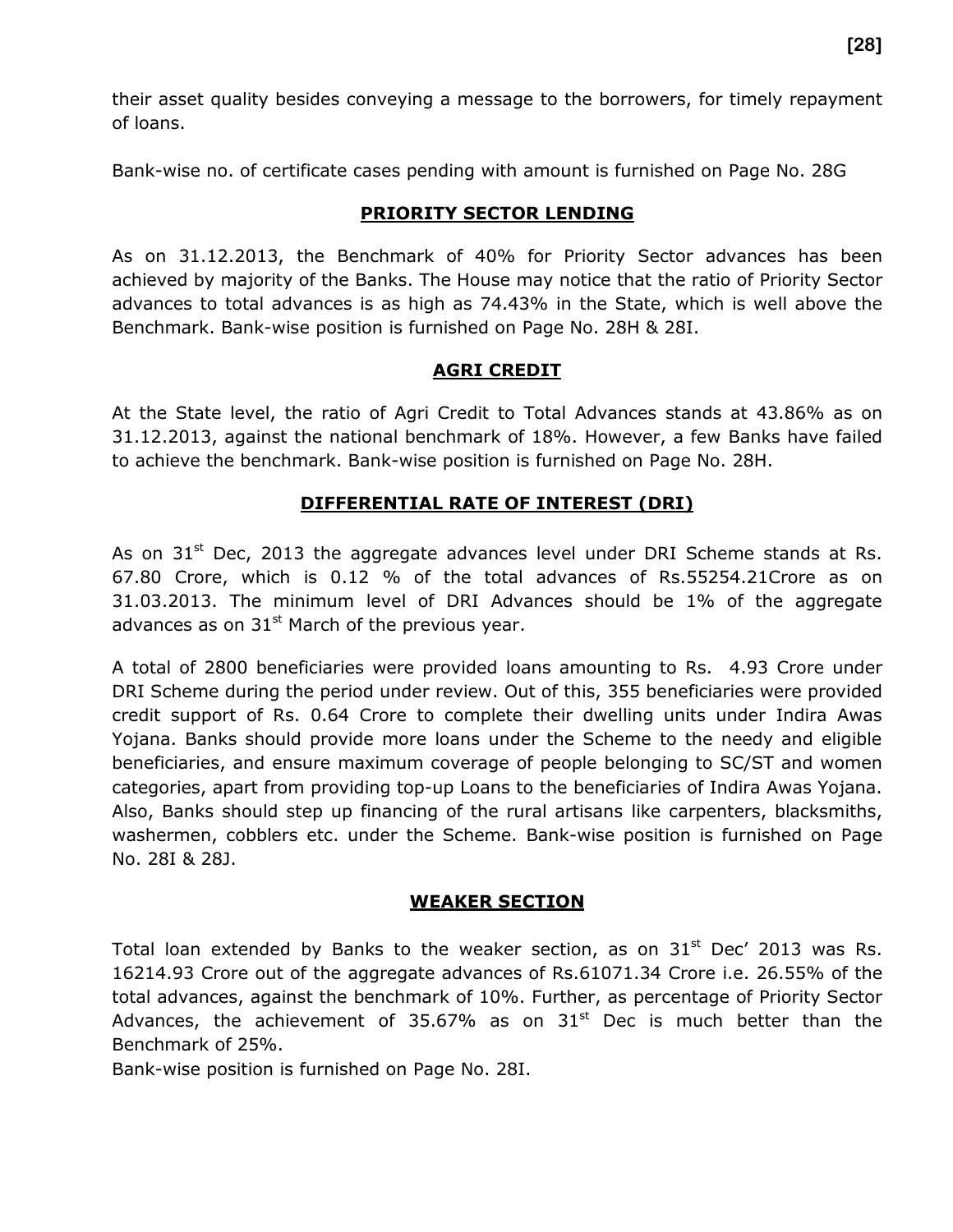their asset quality besides conveying a message to the borrowers, for timely repayment of loans.

Bank-wise no. of certificate cases pending with amount is furnished on Page No. 28G

#### **PRIORITY SECTOR LENDING**

As on 31.12.2013, the Benchmark of 40% for Priority Sector advances has been achieved by majority of the Banks. The House may notice that the ratio of Priority Sector advances to total advances is as high as 74.43% in the State, which is well above the Benchmark. Bank-wise position is furnished on Page No. 28H & 28I.

#### **AGRI CREDIT**

At the State level, the ratio of Agri Credit to Total Advances stands at 43.86% as on 31.12.2013, against the national benchmark of 18%. However, a few Banks have failed to achieve the benchmark. Bank-wise position is furnished on Page No. 28H.

#### **DIFFERENTIAL RATE OF INTEREST (DRI)**

As on  $31<sup>st</sup>$  Dec, 2013 the aggregate advances level under DRI Scheme stands at Rs. 67.80 Crore, which is 0.12 % of the total advances of Rs.55254.21Crore as on 31.03.2013. The minimum level of DRI Advances should be 1% of the aggregate advances as on  $31<sup>st</sup>$  March of the previous year.

A total of 2800 beneficiaries were provided loans amounting to Rs. 4.93 Crore under DRI Scheme during the period under review. Out of this, 355 beneficiaries were provided credit support of Rs. 0.64 Crore to complete their dwelling units under Indira Awas Yojana. Banks should provide more loans under the Scheme to the needy and eligible beneficiaries, and ensure maximum coverage of people belonging to SC/ST and women categories, apart from providing top-up Loans to the beneficiaries of Indira Awas Yojana. Also, Banks should step up financing of the rural artisans like carpenters, blacksmiths, washermen, cobblers etc. under the Scheme. Bank-wise position is furnished on Page No. 28I & 28J.

#### **WEAKER SECTION**

Total loan extended by Banks to the weaker section, as on  $31<sup>st</sup>$  Dec' 2013 was Rs. 16214.93 Crore out of the aggregate advances of Rs.61071.34 Crore i.e. 26.55% of the total advances, against the benchmark of 10%. Further, as percentage of Priority Sector Advances, the achievement of 35.67% as on  $31<sup>st</sup>$  Dec is much better than the Benchmark of 25%.

Bank-wise position is furnished on Page No. 28I.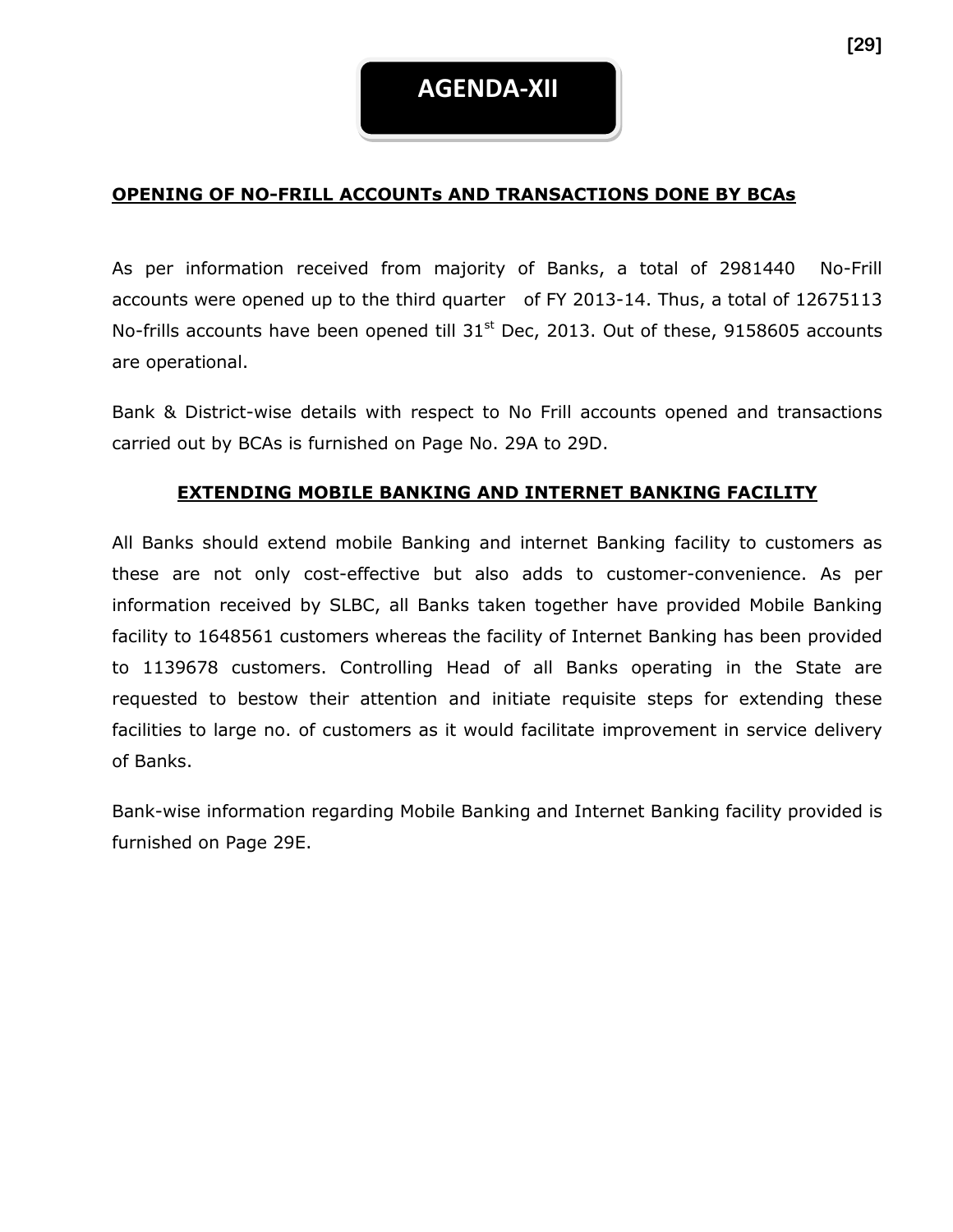#### **OPENING OF NO-FRILL ACCOUNTs AND TRANSACTIONS DONE BY BCAs**

As per information received from majority of Banks, a total of 2981440 No-Frill accounts were opened up to the third quarter of FY 2013-14. Thus, a total of 12675113 No-frills accounts have been opened till  $31<sup>st</sup>$  Dec, 2013. Out of these, 9158605 accounts are operational.

Bank & District-wise details with respect to No Frill accounts opened and transactions carried out by BCAs is furnished on Page No. 29A to 29D.

#### **EXTENDING MOBILE BANKING AND INTERNET BANKING FACILITY**

All Banks should extend mobile Banking and internet Banking facility to customers as these are not only cost-effective but also adds to customer-convenience. As per information received by SLBC, all Banks taken together have provided Mobile Banking facility to 1648561 customers whereas the facility of Internet Banking has been provided to 1139678 customers. Controlling Head of all Banks operating in the State are requested to bestow their attention and initiate requisite steps for extending these facilities to large no. of customers as it would facilitate improvement in service delivery of Banks.

Bank-wise information regarding Mobile Banking and Internet Banking facility provided is furnished on Page 29E.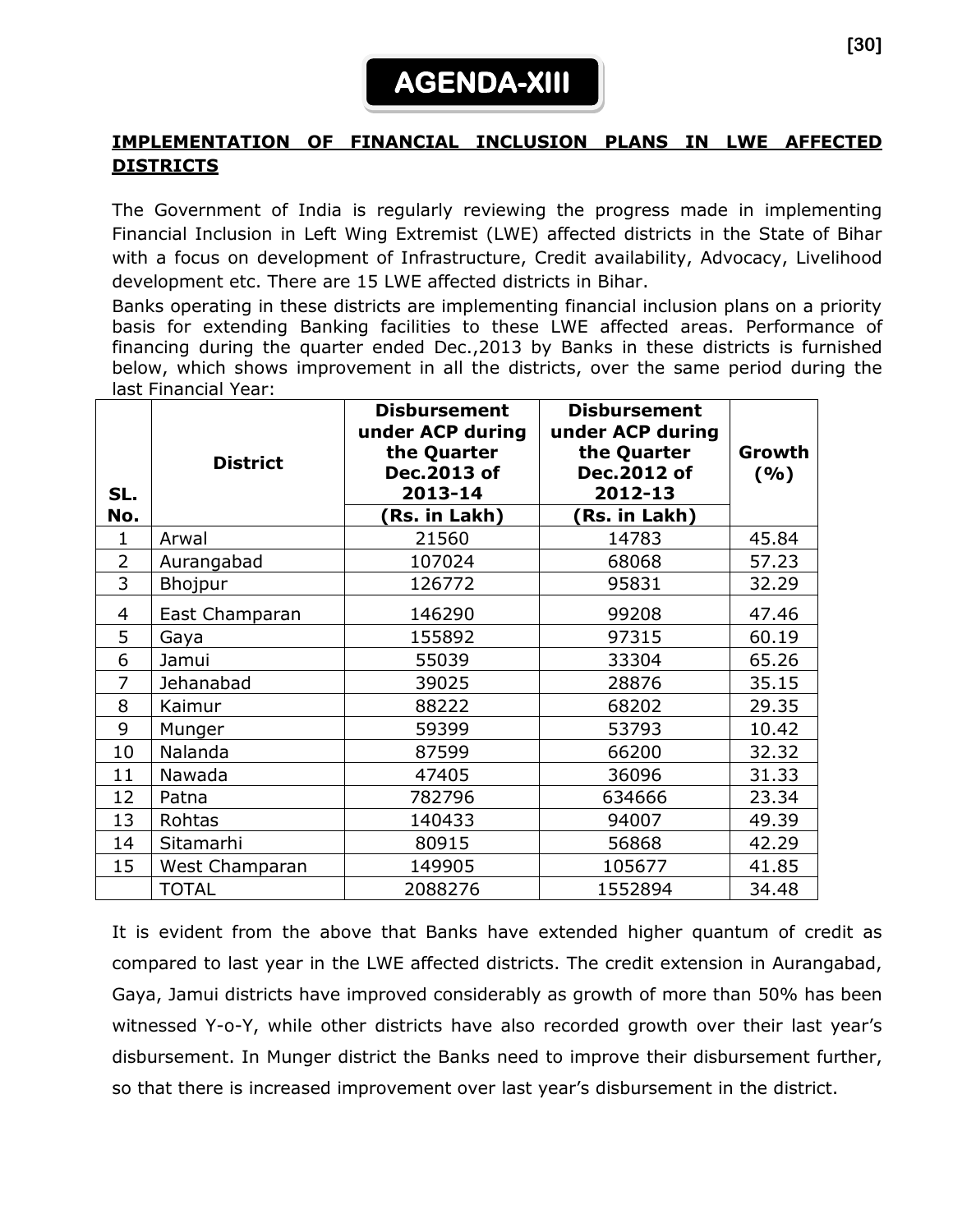# **AGENDA-XIII**

#### **IMPLEMENTATION OF FINANCIAL INCLUSION PLANS IN LWE AFFECTED DISTRICTS**

The Government of India is regularly reviewing the progress made in implementing Financial Inclusion in Left Wing Extremist (LWE) affected districts in the State of Bihar with a focus on development of Infrastructure, Credit availability, Advocacy, Livelihood development etc. There are 15 LWE affected districts in Bihar.

Banks operating in these districts are implementing financial inclusion plans on a priority basis for extending Banking facilities to these LWE affected areas. Performance of financing during the quarter ended Dec.,2013 by Banks in these districts is furnished below, which shows improvement in all the districts, over the same period during the last Financial Year:

| SL.<br>No.     | <b>Disbursement</b><br>under ACP during<br>the Quarter<br><b>District</b><br>Dec.2013 of<br>2013-14<br>Rs. in Lakh) |         | <b>Disbursement</b><br>under ACP during<br>the Quarter<br>Dec.2012 of<br>2012-13<br>Rs. in Lakh) | Growth<br>(%) |
|----------------|---------------------------------------------------------------------------------------------------------------------|---------|--------------------------------------------------------------------------------------------------|---------------|
| 1              | Arwal                                                                                                               | 21560   | 14783                                                                                            | 45.84         |
| $\overline{2}$ | Aurangabad                                                                                                          | 107024  | 68068                                                                                            | 57.23         |
| 3              | Bhojpur                                                                                                             | 126772  | 95831                                                                                            | 32.29         |
| 4              | East Champaran                                                                                                      | 146290  | 99208                                                                                            | 47.46         |
| 5              | Gaya                                                                                                                | 155892  | 97315                                                                                            | 60.19         |
| 6              | Jamui                                                                                                               | 55039   | 33304                                                                                            | 65.26         |
| 7              | Jehanabad                                                                                                           | 39025   | 28876                                                                                            | 35.15         |
| 8              | Kaimur                                                                                                              | 88222   | 68202                                                                                            | 29.35         |
| 9              | Munger                                                                                                              | 59399   | 53793                                                                                            | 10.42         |
| 10             | Nalanda                                                                                                             | 87599   | 66200                                                                                            | 32.32         |
| 11             | Nawada                                                                                                              | 47405   | 36096                                                                                            | 31.33         |
| 12             | Patna                                                                                                               | 782796  | 634666                                                                                           | 23.34         |
| 13             | Rohtas                                                                                                              | 140433  | 94007                                                                                            | 49.39         |
| 14             | Sitamarhi                                                                                                           | 80915   | 56868                                                                                            | 42.29         |
| 15             | West Champaran                                                                                                      | 149905  | 105677                                                                                           | 41.85         |
|                | <b>TOTAL</b>                                                                                                        | 2088276 | 1552894                                                                                          | 34.48         |

It is evident from the above that Banks have extended higher quantum of credit as compared to last year in the LWE affected districts. The credit extension in Aurangabad, Gaya, Jamui districts have improved considerably as growth of more than 50% has been witnessed Y-o-Y, while other districts have also recorded growth over their last year's disbursement. In Munger district the Banks need to improve their disbursement further, so that there is increased improvement over last year's disbursement in the district.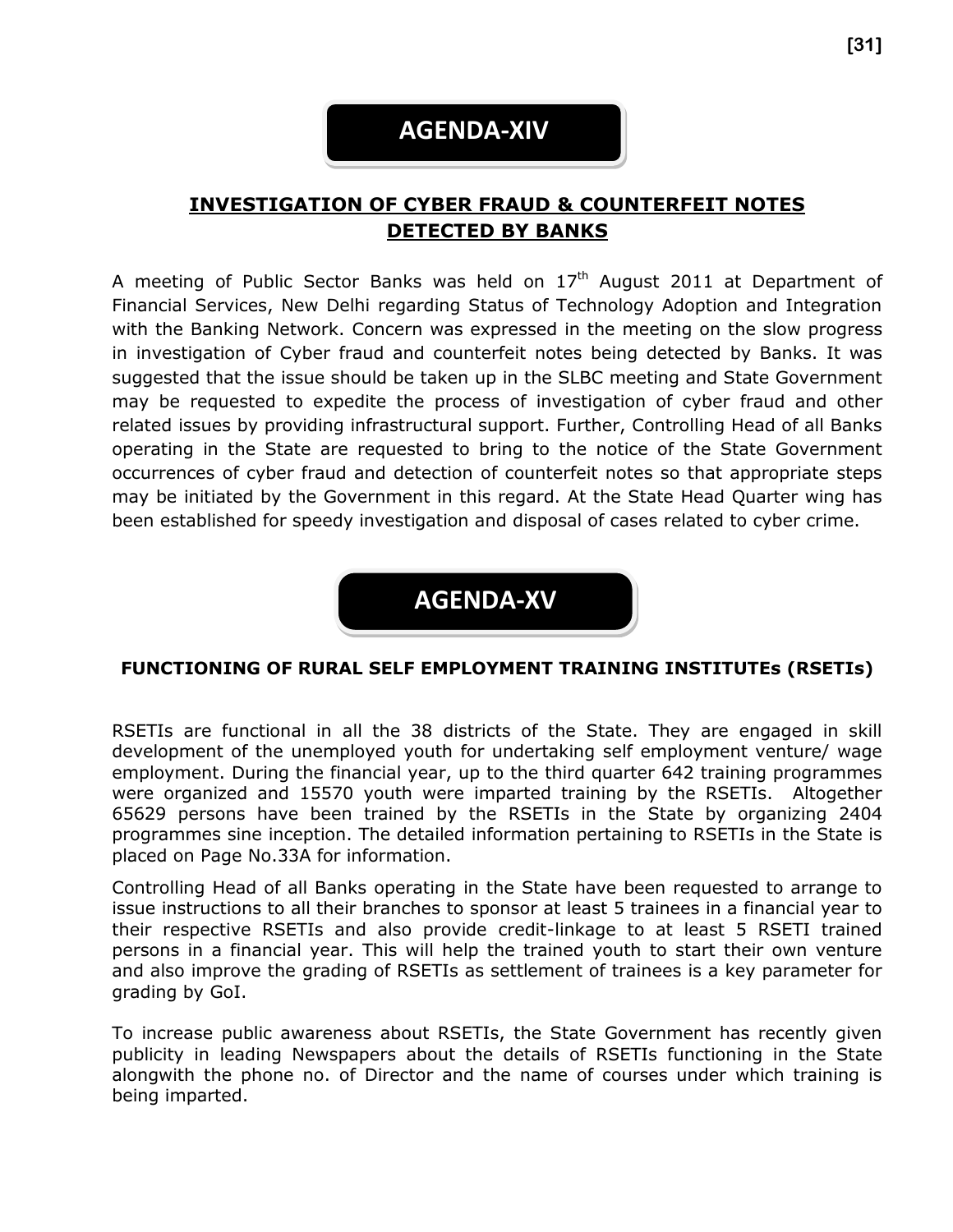### **AGENDA-XIV**

### **INVESTIGATION OF CYBER FRAUD & COUNTERFEIT NOTES DETECTED BY BANKS**

A meeting of Public Sector Banks was held on  $17<sup>th</sup>$  August 2011 at Department of Financial Services, New Delhi regarding Status of Technology Adoption and Integration with the Banking Network. Concern was expressed in the meeting on the slow progress in investigation of Cyber fraud and counterfeit notes being detected by Banks. It was suggested that the issue should be taken up in the SLBC meeting and State Government may be requested to expedite the process of investigation of cyber fraud and other related issues by providing infrastructural support. Further, Controlling Head of all Banks operating in the State are requested to bring to the notice of the State Government occurrences of cyber fraud and detection of counterfeit notes so that appropriate steps may be initiated by the Government in this regard. At the State Head Quarter wing has been established for speedy investigation and disposal of cases related to cyber crime.



#### **FUNCTIONING OF RURAL SELF EMPLOYMENT TRAINING INSTITUTEs (RSETIs)**

RSETIs are functional in all the 38 districts of the State. They are engaged in skill development of the unemployed youth for undertaking self employment venture/ wage employment. During the financial year, up to the third quarter 642 training programmes were organized and 15570 youth were imparted training by the RSETIs. Altogether 65629 persons have been trained by the RSETIs in the State by organizing 2404 programmes sine inception. The detailed information pertaining to RSETIs in the State is placed on Page No.33A for information.

Controlling Head of all Banks operating in the State have been requested to arrange to issue instructions to all their branches to sponsor at least 5 trainees in a financial year to their respective RSETIs and also provide credit-linkage to at least 5 RSETI trained persons in a financial year. This will help the trained youth to start their own venture and also improve the grading of RSETIs as settlement of trainees is a key parameter for grading by GoI.

To increase public awareness about RSETIs, the State Government has recently given publicity in leading Newspapers about the details of RSETIs functioning in the State alongwith the phone no. of Director and the name of courses under which training is being imparted.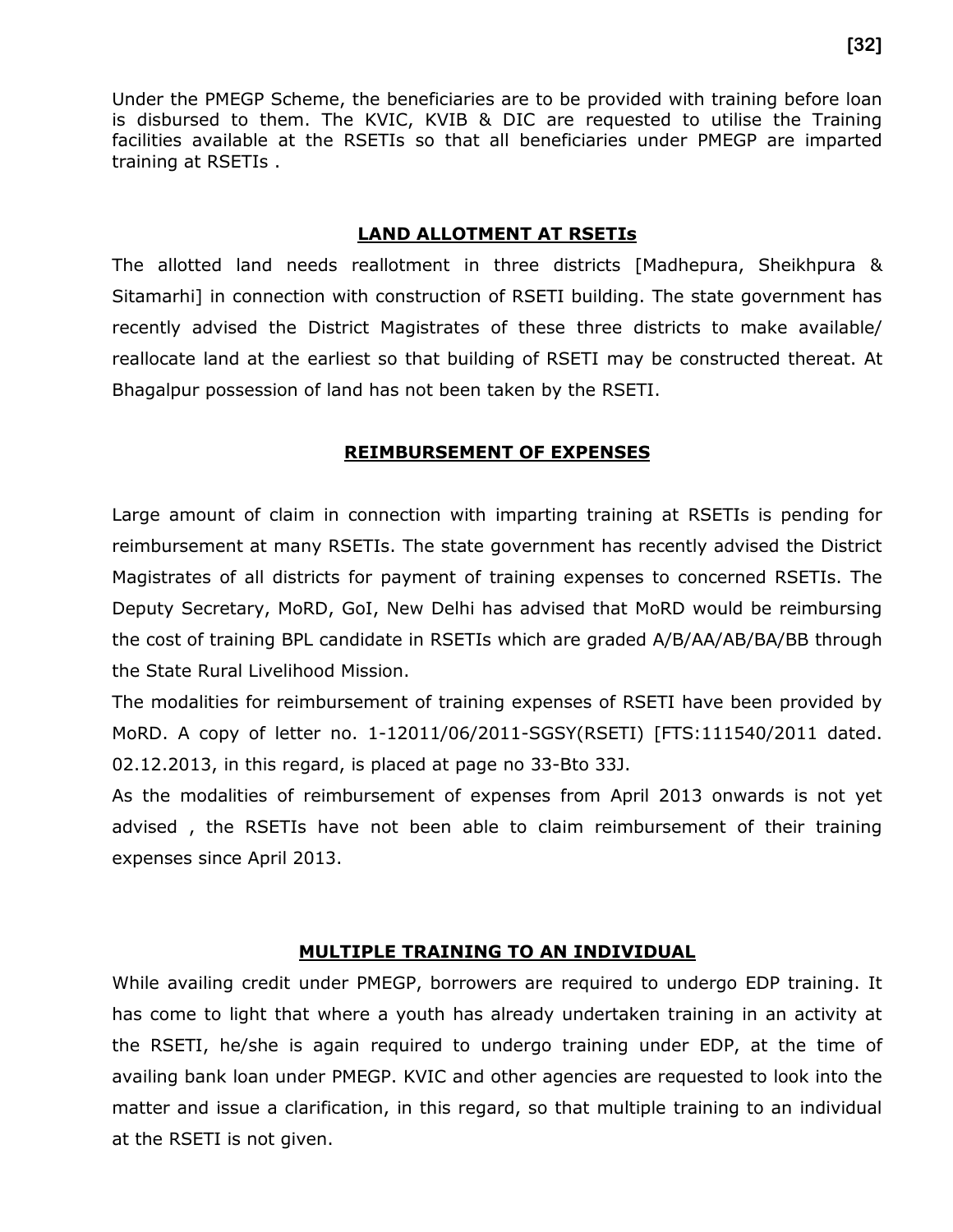Under the PMEGP Scheme, the beneficiaries are to be provided with training before loan is disbursed to them. The KVIC, KVIB & DIC are requested to utilise the Training facilities available at the RSETIs so that all beneficiaries under PMEGP are imparted training at RSETIs .

#### **LAND ALLOTMENT AT RSETIs**

The allotted land needs reallotment in three districts [Madhepura, Sheikhpura & Sitamarhi] in connection with construction of RSETI building. The state government has recently advised the District Magistrates of these three districts to make available/ reallocate land at the earliest so that building of RSETI may be constructed thereat. At Bhagalpur possession of land has not been taken by the RSETI.

#### **REIMBURSEMENT OF EXPENSES**

Large amount of claim in connection with imparting training at RSETIs is pending for reimbursement at many RSETIs. The state government has recently advised the District Magistrates of all districts for payment of training expenses to concerned RSETIs. The Deputy Secretary, MoRD, GoI, New Delhi has advised that MoRD would be reimbursing the cost of training BPL candidate in RSETIs which are graded A/B/AA/AB/BA/BB through the State Rural Livelihood Mission.

The modalities for reimbursement of training expenses of RSETI have been provided by MoRD. A copy of letter no. 1-12011/06/2011-SGSY(RSETI) [FTS:111540/2011 dated. 02.12.2013, in this regard, is placed at page no 33-Bto 33J.

As the modalities of reimbursement of expenses from April 2013 onwards is not yet advised , the RSETIs have not been able to claim reimbursement of their training expenses since April 2013.

#### **MULTIPLE TRAINING TO AN INDIVIDUAL**

While availing credit under PMEGP, borrowers are required to undergo EDP training. It has come to light that where a youth has already undertaken training in an activity at the RSETI, he/she is again required to undergo training under EDP, at the time of availing bank loan under PMEGP. KVIC and other agencies are requested to look into the matter and issue a clarification, in this regard, so that multiple training to an individual at the RSETI is not given.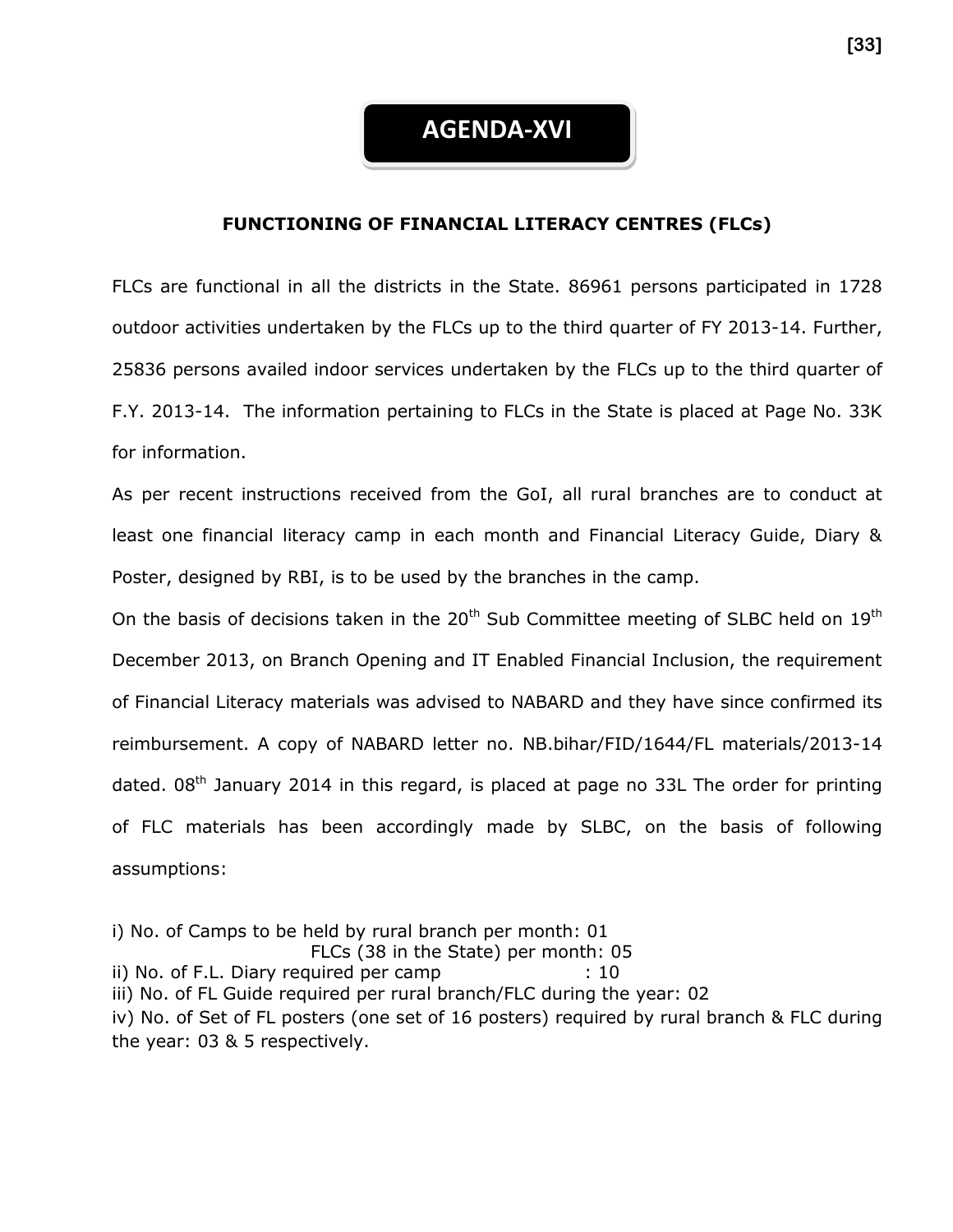#### **FUNCTIONING OF FINANCIAL LITERACY CENTRES (FLCs)**

FLCs are functional in all the districts in the State. 86961 persons participated in 1728 outdoor activities undertaken by the FLCs up to the third quarter of FY 2013-14. Further, 25836 persons availed indoor services undertaken by the FLCs up to the third quarter of F.Y. 2013-14. The information pertaining to FLCs in the State is placed at Page No. 33K for information.

As per recent instructions received from the GoI, all rural branches are to conduct at least one financial literacy camp in each month and Financial Literacy Guide, Diary & Poster, designed by RBI, is to be used by the branches in the camp.

On the basis of decisions taken in the  $20<sup>th</sup>$  Sub Committee meeting of SLBC held on  $19<sup>th</sup>$ December 2013, on Branch Opening and IT Enabled Financial Inclusion, the requirement of Financial Literacy materials was advised to NABARD and they have since confirmed its reimbursement. A copy of NABARD letter no. NB.bihar/FID/1644/FL materials/2013-14 dated.  $08<sup>th</sup>$  January 2014 in this regard, is placed at page no 33L The order for printing of FLC materials has been accordingly made by SLBC, on the basis of following assumptions:

i) No. of Camps to be held by rural branch per month: 01 FLCs (38 in the State) per month: 05 ii) No. of F.L. Diary required per camp : 10 iii) No. of FL Guide required per rural branch/FLC during the year: 02 iv) No. of Set of FL posters (one set of 16 posters) required by rural branch & FLC during the year: 03 & 5 respectively.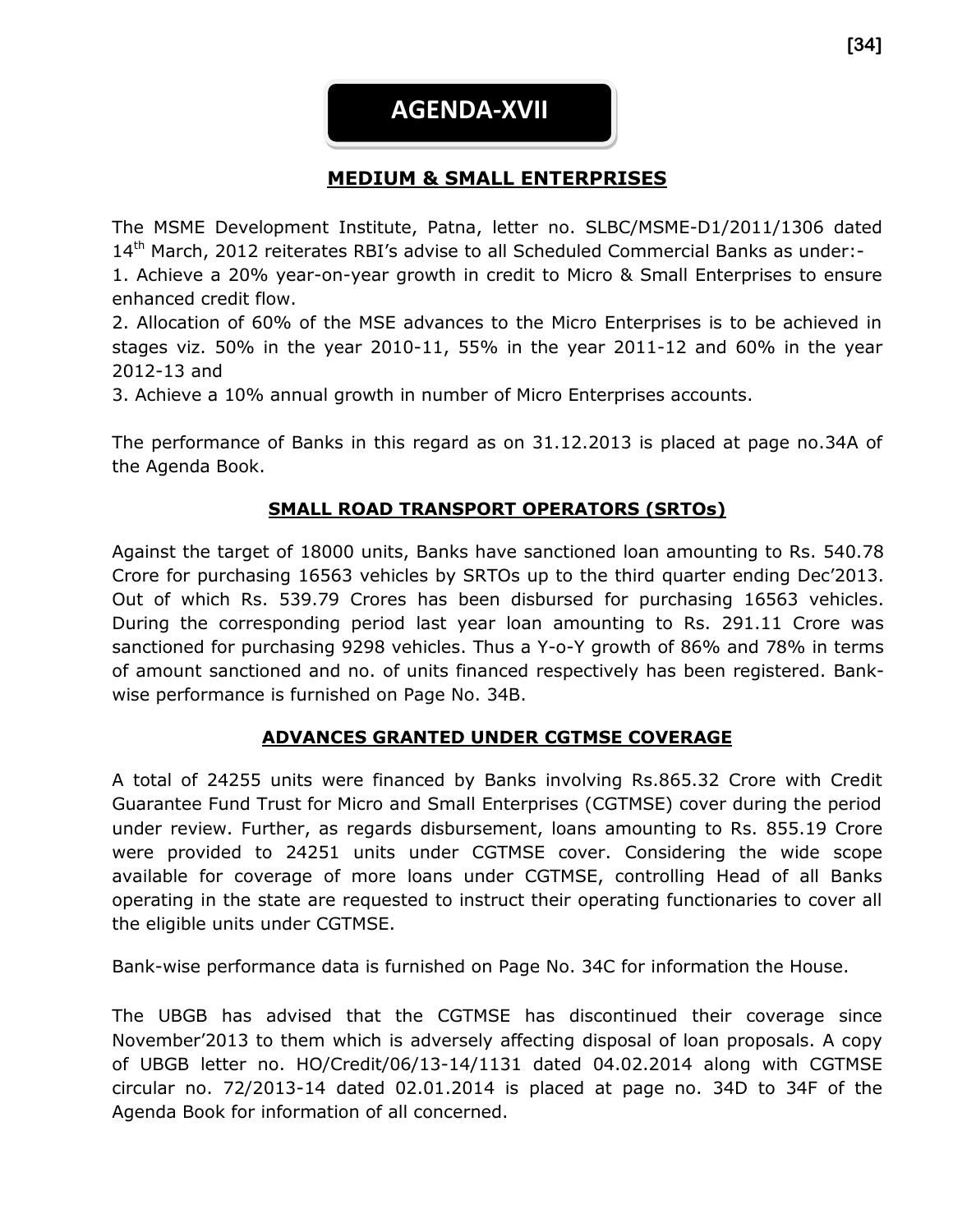### **AGENDA-XVII**

### **MEDIUM & SMALL ENTERPRISES**

The MSME Development Institute, Patna, letter no. SLBC/MSME-D1/2011/1306 dated 14th March, 2012 reiterates RBI's advise to all Scheduled Commercial Banks as under:- 1. Achieve a 20% year-on-year growth in credit to Micro & Small Enterprises to ensure enhanced credit flow.

2. Allocation of 60% of the MSE advances to the Micro Enterprises is to be achieved in stages viz. 50% in the year 2010-11, 55% in the year 2011-12 and 60% in the year 2012-13 and

3. Achieve a 10% annual growth in number of Micro Enterprises accounts.

The performance of Banks in this regard as on 31.12.2013 is placed at page no.34A of the Agenda Book.

#### **SMALL ROAD TRANSPORT OPERATORS (SRTOs)**

Against the target of 18000 units, Banks have sanctioned loan amounting to Rs. 540.78 Crore for purchasing 16563 vehicles by SRTOs up to the third quarter ending Dec'2013. Out of which Rs. 539.79 Crores has been disbursed for purchasing 16563 vehicles. During the corresponding period last year loan amounting to Rs. 291.11 Crore was sanctioned for purchasing 9298 vehicles. Thus a Y-o-Y growth of 86% and 78% in terms of amount sanctioned and no. of units financed respectively has been registered. Bankwise performance is furnished on Page No. 34B.

#### **ADVANCES GRANTED UNDER CGTMSE COVERAGE**

A total of 24255 units were financed by Banks involving Rs.865.32 Crore with Credit Guarantee Fund Trust for Micro and Small Enterprises (CGTMSE) cover during the period under review. Further, as regards disbursement, loans amounting to Rs. 855.19 Crore were provided to 24251 units under CGTMSE cover. Considering the wide scope available for coverage of more loans under CGTMSE, controlling Head of all Banks operating in the state are requested to instruct their operating functionaries to cover all the eligible units under CGTMSE.

Bank-wise performance data is furnished on Page No. 34C for information the House.

The UBGB has advised that the CGTMSE has discontinued their coverage since November'2013 to them which is adversely affecting disposal of loan proposals. A copy of UBGB letter no. HO/Credit/06/13-14/1131 dated 04.02.2014 along with CGTMSE circular no. 72/2013-14 dated 02.01.2014 is placed at page no. 34D to 34F of the Agenda Book for information of all concerned.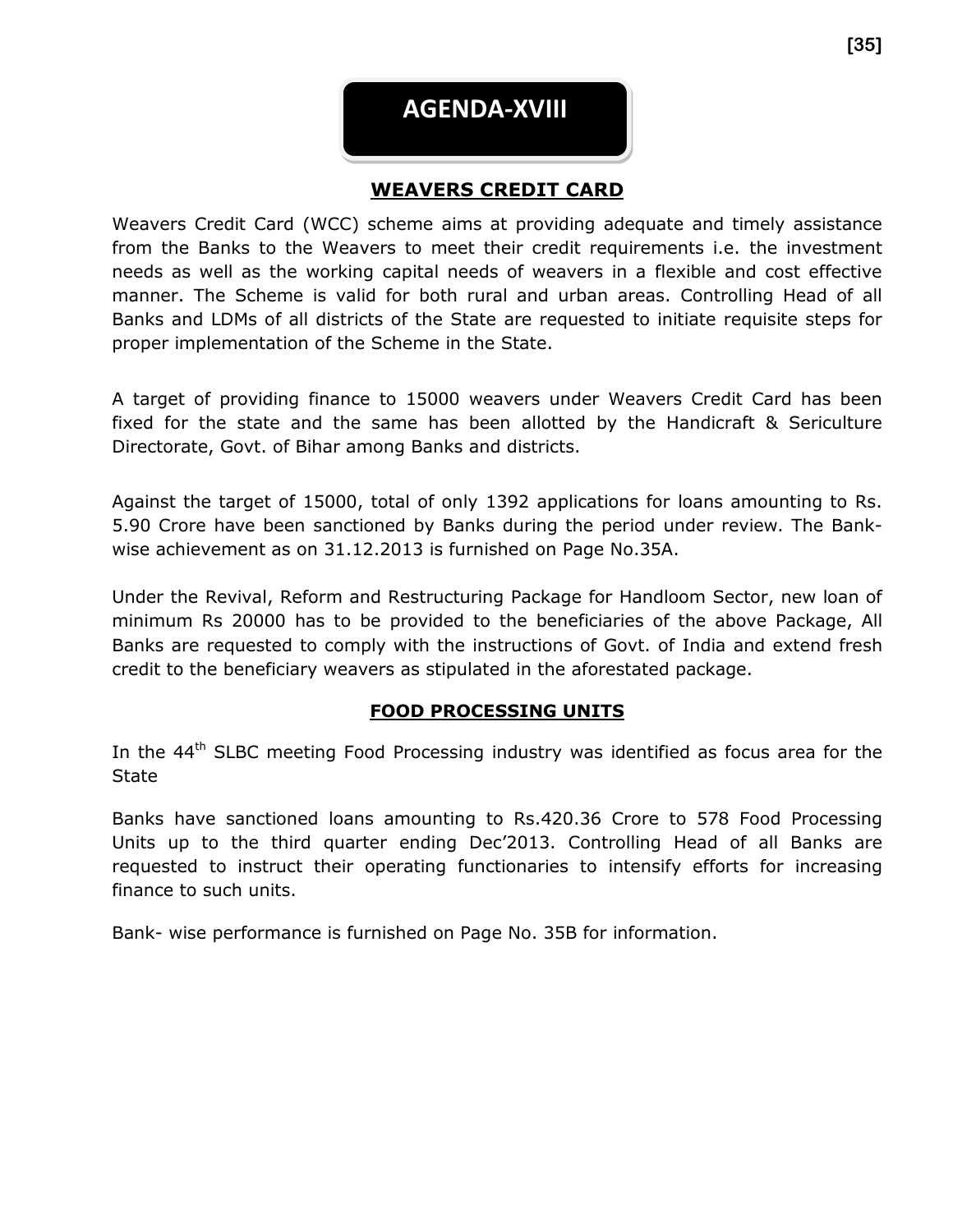

#### **WEAVERS CREDIT CARD**

Weavers Credit Card (WCC) scheme aims at providing adequate and timely assistance from the Banks to the Weavers to meet their credit requirements i.e. the investment needs as well as the working capital needs of weavers in a flexible and cost effective manner. The Scheme is valid for both rural and urban areas. Controlling Head of all Banks and LDMs of all districts of the State are requested to initiate requisite steps for proper implementation of the Scheme in the State.

A target of providing finance to 15000 weavers under Weavers Credit Card has been fixed for the state and the same has been allotted by the Handicraft & Sericulture Directorate, Govt. of Bihar among Banks and districts.

Against the target of 15000, total of only 1392 applications for loans amounting to Rs. 5.90 Crore have been sanctioned by Banks during the period under review. The Bankwise achievement as on 31.12.2013 is furnished on Page No.35A.

Under the Revival, Reform and Restructuring Package for Handloom Sector, new loan of minimum Rs 20000 has to be provided to the beneficiaries of the above Package, All Banks are requested to comply with the instructions of Govt. of India and extend fresh credit to the beneficiary weavers as stipulated in the aforestated package.

#### **FOOD PROCESSING UNITS**

In the 44<sup>th</sup> SLBC meeting Food Processing industry was identified as focus area for the State

Banks have sanctioned loans amounting to Rs.420.36 Crore to 578 Food Processing Units up to the third quarter ending Dec'2013. Controlling Head of all Banks are requested to instruct their operating functionaries to intensify efforts for increasing finance to such units.

Bank- wise performance is furnished on Page No. 35B for information.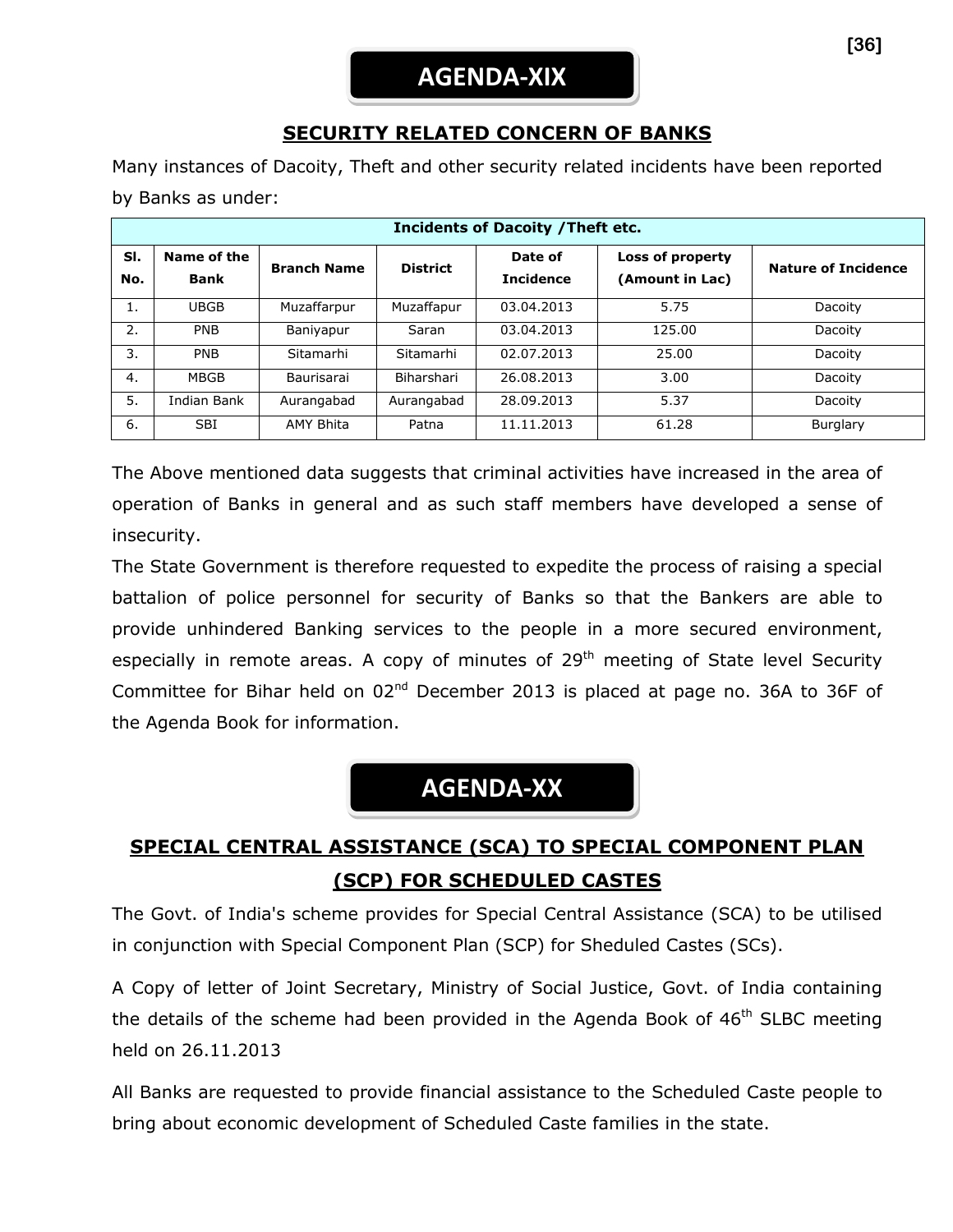### **SECURITY RELATED CONCERN OF BANKS**

Many instances of Dacoity, Theft and other security related incidents have been reported by Banks as under:

| <b>Incidents of Dacoity / Theft etc.</b> |                            |                    |                 |                             |                                     |                            |
|------------------------------------------|----------------------------|--------------------|-----------------|-----------------------------|-------------------------------------|----------------------------|
| SI.<br>No.                               | Name of the<br><b>Bank</b> | <b>Branch Name</b> | <b>District</b> | Date of<br><b>Incidence</b> | Loss of property<br>(Amount in Lac) | <b>Nature of Incidence</b> |
| 1.                                       | <b>UBGB</b>                | Muzaffarpur        | Muzaffapur      | 03.04.2013                  | 5.75                                | Dacoity                    |
| 2.                                       | <b>PNB</b>                 | Baniyapur          | Saran           | 03.04.2013                  | 125.00                              | Dacoity                    |
| 3.                                       | <b>PNB</b>                 | Sitamarhi          | Sitamarhi       | 02.07.2013                  | 25.00                               | Dacoity                    |
| 4.                                       | <b>MBGB</b>                | Baurisarai         | Biharshari      | 26.08.2013                  | 3.00                                | Dacoity                    |
| 5.                                       | Indian Bank                | Aurangabad         | Aurangabad      | 28.09.2013                  | 5.37                                | Dacoity                    |
| 6.                                       | <b>SBI</b>                 | <b>AMY Bhita</b>   | Patna           | 11.11.2013                  | 61.28                               | Burglary                   |

The Above mentioned data suggests that criminal activities have increased in the area of operation of Banks in general and as such staff members have developed a sense of insecurity.

The State Government is therefore requested to expedite the process of raising a special battalion of police personnel for security of Banks so that the Bankers are able to provide unhindered Banking services to the people in a more secured environment, especially in remote areas. A copy of minutes of  $29<sup>th</sup>$  meeting of State level Security Committee for Bihar held on 02<sup>nd</sup> December 2013 is placed at page no. 36A to 36F of the Agenda Book for information.

## **AGENDA-XX**

### **SPECIAL CENTRAL ASSISTANCE (SCA) TO SPECIAL COMPONENT PLAN (SCP) FOR SCHEDULED CASTES**

The Govt. of India's scheme provides for Special Central Assistance (SCA) to be utilised in conjunction with Special Component Plan (SCP) for Sheduled Castes (SCs).

A Copy of letter of Joint Secretary, Ministry of Social Justice, Govt. of India containing the details of the scheme had been provided in the Agenda Book of  $46<sup>th</sup>$  SLBC meeting held on 26.11.2013

All Banks are requested to provide financial assistance to the Scheduled Caste people to bring about economic development of Scheduled Caste families in the state.